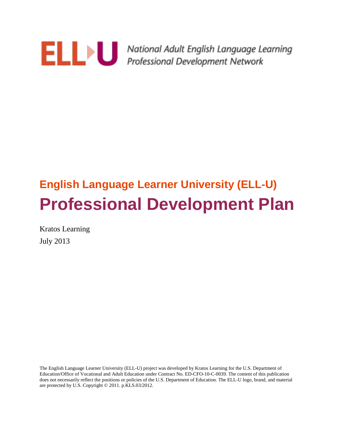

**ELLIEN Mational Adult English Language Learning**<br>Professional Development Network

# **English Language Learner University (ELL-U) Professional Development Plan**

Kratos Learning July 2013

The English Language Learner University (ELL-U) project was developed by Kratos Learning for the U.S. Department of Education/Office of Vocational and Adult Education under Contract No. ED-CFO-10-C-0039. The content of this publication does not necessarily reflect the positions or policies of the U.S. Department of Education. The ELL-U logo, brand, and material are protected by U.S. Copyright © 2011. p.KLS.03/2012.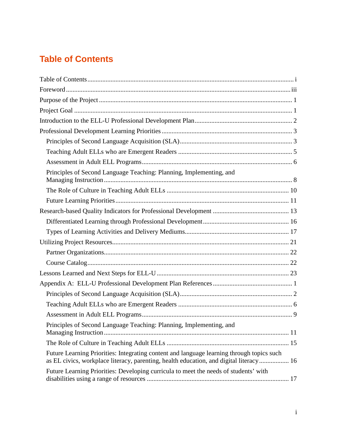# <span id="page-1-0"></span>**Table of Contents**

| Principles of Second Language Teaching: Planning, Implementing, and                                                                                                                 |  |
|-------------------------------------------------------------------------------------------------------------------------------------------------------------------------------------|--|
|                                                                                                                                                                                     |  |
|                                                                                                                                                                                     |  |
|                                                                                                                                                                                     |  |
|                                                                                                                                                                                     |  |
|                                                                                                                                                                                     |  |
|                                                                                                                                                                                     |  |
|                                                                                                                                                                                     |  |
|                                                                                                                                                                                     |  |
|                                                                                                                                                                                     |  |
|                                                                                                                                                                                     |  |
|                                                                                                                                                                                     |  |
|                                                                                                                                                                                     |  |
|                                                                                                                                                                                     |  |
| Principles of Second Language Teaching: Planning, Implementing, and                                                                                                                 |  |
|                                                                                                                                                                                     |  |
| Future Learning Priorities: Integrating content and language learning through topics such<br>as EL civics, workplace literacy, parenting, health education, and digital literacy 16 |  |
| Future Learning Priorities: Developing curricula to meet the needs of students' with                                                                                                |  |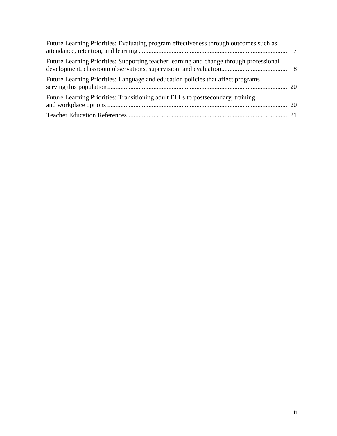| Future Learning Priorities: Evaluating program effectiveness through outcomes such as   |  |
|-----------------------------------------------------------------------------------------|--|
| Future Learning Priorities: Supporting teacher learning and change through professional |  |
| Future Learning Priorities: Language and education policies that affect programs        |  |
| Future Learning Priorities: Transitioning adult ELLs to postsecondary, training         |  |
|                                                                                         |  |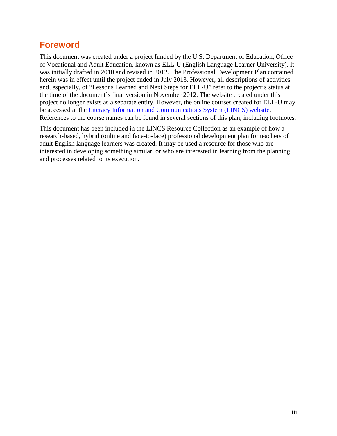# <span id="page-3-0"></span>**Foreword**

This document was created under a project funded by the U.S. Department of Education, Office of Vocational and Adult Education, known as ELL-U (English Language Learner University). It was initially drafted in 2010 and revised in 2012. The Professional Development Plan contained herein was in effect until the project ended in July 2013. However, all descriptions of activities and, especially, of "Lessons Learned and Next Steps for ELL-U" refer to the project's status at the time of the document's final version in November 2012. The website created under this project no longer exists as a separate entity. However, the online courses created for ELL-U may be accessed at the [Literacy Information and Communications System](https://courses.lincs.ed.gov/) (LINCS) website. References to the course names can be found in several sections of this plan, including footnotes.

This document has been included in the LINCS Resource Collection as an example of how a research-based, hybrid (online and face-to-face) professional development plan for teachers of adult English language learners was created. It may be used a resource for those who are interested in developing something similar, or who are interested in learning from the planning and processes related to its execution.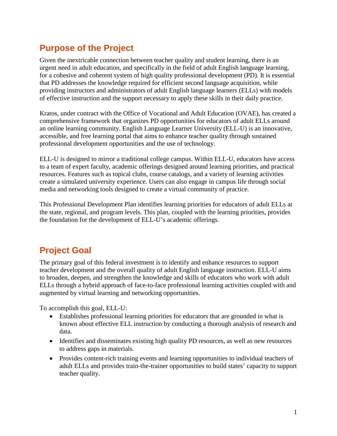# <span id="page-4-0"></span>**Purpose of the Project**

Given the inextricable connection between teacher quality and student learning, there is an urgent need in adult education, and specifically in the field of adult English language learning, for a cohesive and coherent system of high quality professional development (PD). It is essential that PD addresses the knowledge required for efficient second language acquisition, while providing instructors and administrators of adult English language learners (ELLs) with models of effective instruction and the support necessary to apply these skills in their daily practice.

Kratos, under contract with the Office of Vocational and Adult Education (OVAE), has created a comprehensive framework that organizes PD opportunities for educators of adult ELLs around an online learning community. English Language Learner University (ELL-U) is an innovative, accessible, and free learning portal that aims to enhance teacher quality through sustained professional development opportunities and the use of technology.

ELL-U is designed to mirror a traditional college campus. Within ELL-U, educators have access to a team of expert faculty, academic offerings designed around learning priorities, and practical resources. Features such as topical clubs, course catalogs, and a variety of learning activities create a simulated university experience. Users can also engage in campus life through social media and networking tools designed to create a virtual community of practice.

This Professional Development Plan identifies learning priorities for educators of adult ELLs at the state, regional, and program levels. This plan, coupled with the learning priorities, provides the foundation for the development of ELL-U's academic offerings.

# <span id="page-4-1"></span>**Project Goal**

The primary goal of this federal investment is to identify and enhance resources to support teacher development and the overall quality of adult English language instruction. ELL-U aims to broaden, deepen, and strengthen the knowledge and skills of educators who work with adult ELLs through a hybrid approach of face-to-face professional learning activities coupled with and augmented by virtual learning and networking opportunities.

To accomplish this goal, ELL-U:

- Establishes professional learning priorities for educators that are grounded in what is known about effective ELL instruction by conducting a thorough analysis of research and data.
- Identifies and disseminates existing high quality PD resources, as well as new resources to address gaps in materials.
- Provides content-rich training events and learning opportunities to individual teachers of adult ELLs and provides train-the-trainer opportunities to build states' capacity to support teacher quality.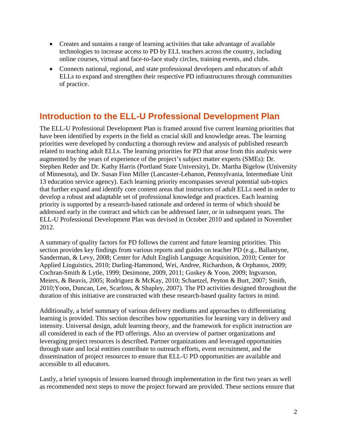- Creates and sustains a range of learning activities that take advantage of available technologies to increase access to PD by ELL teachers across the country, including online courses, virtual and face-to-face study circles, training events, and clubs.
- Connects national, regional, and state professional developers and educators of adult ELLs to expand and strengthen their respective PD infrastructures through communities of practice.

# <span id="page-5-0"></span>**Introduction to the ELL-U Professional Development Plan**

The ELL-U Professional Development Plan is framed around five current learning priorities that have been identified by experts in the field as crucial skill and knowledge areas. The learning priorities were developed by conducting a thorough review and analysis of published research related to teaching adult ELLs. The learning priorities for PD that arose from this analysis were augmented by the years of experience of the project's subject matter experts (SMEs): Dr. Stephen Reder and Dr. Kathy Harris (Portland State University), Dr. Martha Bigelow (University of Minnesota), and Dr. Susan Finn Miller (Lancaster-Lebanon, Pennsylvania, Intermediate Unit 13 education service agency). Each learning priority encompasses several potential sub-topics that further expand and identify core content areas that instructors of adult ELLs need in order to develop a robust and adaptable set of professional knowledge and practices. Each learning priority is supported by a research-based rationale and ordered in terms of which should be addressed early in the contract and which can be addressed later, or in subsequent years. The ELL-U Professional Development Plan was devised in October 2010 and updated in November 2012.

A summary of quality factors for PD follows the current and future learning priorities. This section provides key findings from various reports and guides on teacher PD (e.g., Ballantyne, Sanderman, & Levy, 2008; Center for Adult English Language Acquisition, 2010; Center for Applied Linguistics, 2010; Darling-Hammond, Wei, Andree, Richardson, & Orphanos, 2009; Cochran-Smith & Lytle, 1999; Desimone, 2009, 2011; Guskey & Yoon, 2009; Ingvarson, Meiers, & Beavis, 2005; Rodriguez & McKay, 2010; Schaetzel, Peyton & Burt, 2007; Smith, 2010;Yoon, Duncan, Lee, Scarloss, & Shapley, 2007). The PD activities designed throughout the duration of this initiative are constructed with these research-based quality factors in mind.

Additionally, a brief summary of various delivery mediums and approaches to differentiating learning is provided. This section describes how opportunities for learning vary in delivery and intensity. Universal design, adult learning theory, and the framework for explicit instruction are all considered in each of the PD offerings. Also an overview of partner organizations and leveraging project resources is described. Partner organizations and leveraged opportunities through state and local entities contribute to outreach efforts, event recruitment, and the dissemination of project resources to ensure that ELL-U PD opportunities are available and accessible to all educators.

Lastly, a brief synopsis of lessons learned through implementation in the first two years as well as recommended next steps to move the project forward are provided. These sections ensure that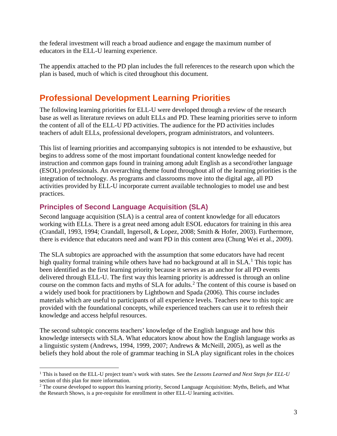the federal investment will reach a broad audience and engage the maximum number of educators in the ELL-U learning experience.

The appendix attached to the PD plan includes the full references to the research upon which the plan is based, much of which is cited throughout this document.

# <span id="page-6-0"></span>**Professional Development Learning Priorities**

The following learning priorities for ELL-U were developed through a review of the research base as well as literature reviews on adult ELLs and PD. These learning priorities serve to inform the content of all of the ELL-U PD activities. The audience for the PD activities includes teachers of adult ELLs, professional developers, program administrators, and volunteers.

This list of learning priorities and accompanying subtopics is not intended to be exhaustive, but begins to address some of the most important foundational content knowledge needed for instruction and common gaps found in training among adult English as a second/other language (ESOL) professionals. An overarching theme found throughout all of the learning priorities is the integration of technology. As programs and classrooms move into the digital age, all PD activities provided by ELL-U incorporate current available technologies to model use and best practices.

### <span id="page-6-1"></span>**Principles of Second Language Acquisition (SLA)**

 $\overline{a}$ 

Second language acquisition (SLA) is a central area of content knowledge for all educators working with ELLs. There is a great need among adult ESOL educators for training in this area (Crandall, 1993, 1994; Crandall, Ingersoll, & Lopez, 2008; Smith & Hofer, 2003). Furthermore, there is evidence that educators need and want PD in this content area (Chung Wei et al., 2009).

The SLA subtopics are approached with the assumption that some educators have had recent high quality formal training while others have had no background at all in  $SLA<sup>1</sup>$  $SLA<sup>1</sup>$  $SLA<sup>1</sup>$ . This topic has been identified as the first learning priority because it serves as an anchor for all PD events delivered through ELL-U. The first way this learning priority is addressed is through an online course on the common facts and myths of SLA for adults.<sup>[2](#page-6-3)</sup> The content of this course is based on a widely used book for practitioners by Lightbown and Spada (2006). This course includes materials which are useful to participants of all experience levels. Teachers new to this topic are provided with the foundational concepts, while experienced teachers can use it to refresh their knowledge and access helpful resources.

The second subtopic concerns teachers' knowledge of the English language and how this knowledge intersects with SLA. What educators know about how the English language works as a linguistic system (Andrews, 1994, 1999, 2007; Andrews & McNeill, 2005), as well as the beliefs they hold about the role of grammar teaching in SLA play significant roles in the choices

<span id="page-6-2"></span><sup>1</sup> This is based on the ELL-U project team's work with states. See the *Lessons Learned and Next Steps for ELL-U*  section of this plan for more information.

<span id="page-6-3"></span><sup>&</sup>lt;sup>2</sup> The course developed to support this learning priority, Second Language Acquisition: Myths, Beliefs, and What the Research Shows, is a pre-requisite for enrollment in other ELL-U learning activities.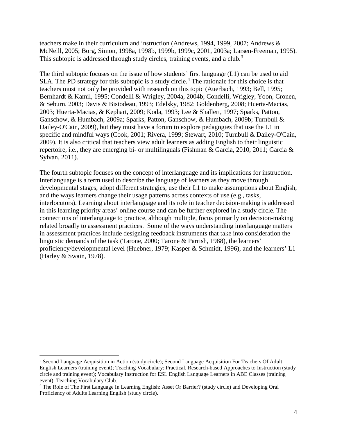teachers make in their curriculum and instruction (Andrews, 1994, 1999, 2007; Andrews & McNeill, 2005; Borg, Simon, 1998a, 1998b, 1999b, 1999c, 2001, 2003a; Larsen-Freeman, 1995). This subtopic is addressed through study circles, training events, and a club.<sup>[3](#page-7-0)</sup>

The third subtopic focuses on the issue of how students' first language (L1) can be used to aid SLA. The PD strategy for this subtopic is a study circle.<sup>[4](#page-7-1)</sup> The rationale for this choice is that teachers must not only be provided with research on this topic (Auerbach, 1993; Bell, 1995; Bernhardt & Kamil, 1995; Condelli & Wrigley, 2004a, 2004b; Condelli, Wrigley, Yoon, Cronen, & Seburn, 2003; Davis & Bistodeau, 1993; Edelsky, 1982; Goldenberg, 2008; Huerta-Macias, 2003; Huerta-Macias, & Kephart, 2009; Koda, 1993; Lee & Shallert, 1997; Sparks, Patton, Ganschow, & Humbach, 2009a; Sparks, Patton, Ganschow, & Humbach, 2009b; Turnbull & Dailey-O'Cain, 2009), but they must have a forum to explore pedagogies that use the L1 in specific and mindful ways (Cook, 2001; Rivera, 1999; Stewart, 2010; Turnbull & Dailey-O'Cain, 2009). It is also critical that teachers view adult learners as adding English to their linguistic repertoire, i.e., they are emerging bi- or multilinguals (Fishman & Garcia, 2010, 2011; Garcia & Sylvan, 2011).

The fourth subtopic focuses on the concept of interlanguage and its implications for instruction. Interlanguage is a term used to describe the language of learners as they move through developmental stages, adopt different strategies, use their L1 to make assumptions about English, and the ways learners change their usage patterns across contexts of use (e.g., tasks, interlocutors). Learning about interlanguage and its role in teacher decision-making is addressed in this learning priority areas' online course and can be further explored in a study circle. The connections of interlanguage to practice, although multiple, focus primarily on decision-making related broadly to assessment practices. Some of the ways understanding interlanguage matters in assessment practices include designing feedback instruments that take into consideration the linguistic demands of the task (Tarone, 2000; Tarone & Parrish, 1988), the learners' proficiency/developmental level (Huebner, 1979; Kasper & Schmidt, 1996), and the learners' L1 (Harley & Swain, 1978).

 $\overline{a}$ 

<span id="page-7-0"></span><sup>3</sup> Second Language Acquisition in Action (study circle); Second Language Acquisition For Teachers Of Adult English Learners (training event); Teaching Vocabulary: Practical, Research-based Approaches to Instruction (study circle and training event); Vocabulary Instruction for ESL English Language Learners in ABE Classes (training event); Teaching Vocabulary Club.

<span id="page-7-1"></span><sup>4</sup> The Role of The First Language In Learning English: Asset Or Barrier? (study circle) and Developing Oral Proficiency of Adults Learning English (study circle).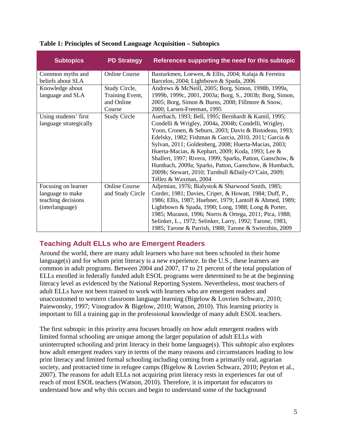| <b>Subtopics</b>       | <b>PD Strategy</b>   | References supporting the need for this subtopic          |
|------------------------|----------------------|-----------------------------------------------------------|
| Common myths and       | <b>Online Course</b> | Basturkmen, Loewen, & Ellis, 2004; Kalaja & Ferreira      |
| beliefs about SLA      |                      | Barcelos, 2004; Lightbown & Spada, 2006                   |
| Knowledge about        | Study Circle,        | Andrews & McNeill, 2005; Borg, Simon, 1998b, 1999a,       |
| language and SLA       | Training Event,      | 1999b, 1999c, 2001, 2003a; Borg, S., 2003b; Borg, Simon,  |
|                        | and Online           | 2005; Borg, Simon & Burns, 2008; Fillmore & Snow,         |
|                        | Course               | 2000; Larsen-Freeman, 1995                                |
| Using students' first  | <b>Study Circle</b>  | Auerbach, 1993; Bell, 1995; Bernhardt & Kamil, 1995;      |
| language strategically |                      | Condelli & Wrigley, 2004a, 2004b; Condelli, Wrigley,      |
|                        |                      | Yoon, Cronen, & Seburn, 2003; Davis & Bistodeau, 1993;    |
|                        |                      | Edelsky, 1982; Fishman & Garcia, 2010, 2011; Garcia &     |
|                        |                      | Sylvan, 2011; Goldenberg, 2008; Huerta-Macias, 2003;      |
|                        |                      | Huerta-Macias, & Kephart, 2009; Koda, 1993; Lee &         |
|                        |                      | Shallert, 1997; Rivera, 1999; Sparks, Patton, Ganschow, & |
|                        |                      | Humbach, 2009a; Sparks, Patton, Ganschow, & Humbach,      |
|                        |                      | 2009b; Stewart, 2010; Turnbull &Daily-O'Cain, 2009;       |
|                        |                      | Téllez & Waxman, 2004                                     |
| Focusing on learner    | <b>Online Course</b> | Adjemian, 1976; Bialystok & Sharwood Smith, 1985;         |
| language to make       | and Study Circle     | Corder, 1981; Davies, Criper, & Howatt, 1984; Duff, P.,   |
| teaching decisions     |                      | 1986; Ellis, 1987; Huebner, 1979; Lantolf & Ahmed, 1989;  |
| (interlanguage)        |                      | Lightbown & Spada, 1990; Long, 1988; Long & Porter,       |
|                        |                      | 1985; Muranoi, 1996; Norris & Ortega, 2011; Pica, 1988;   |
|                        |                      | Selinker, L., 1972; Selinker, Larry, 1992; Tarone, 1983,  |
|                        |                      | 1985; Tarone & Parrish, 1988; Tarone & Swierzbin, 2009    |

#### **Table 1: Principles of Second Language Acquisition – Subtopics**

### <span id="page-8-0"></span>**Teaching Adult ELLs who are Emergent Readers**

Around the world, there are many adult learners who have not been schooled in their home language(s) and for whom print literacy is a new experience. In the U.S., these learners are common in adult programs. Between 2004 and 2007, 17 to 21 percent of the total population of ELLs enrolled in federally funded adult ESOL programs were determined to be at the beginning literacy level as evidenced by the National Reporting System. Nevertheless, most teachers of adult ELLs have not been trained to work with learners who are emergent readers and unaccustomed to western classroom language learning (Bigelow & Lovrien Schwarz, 2010; Paiewonsky, 1997; Vinogradov & Bigelow, 2010; Watson, 2010). This learning priority is important to fill a training gap in the professional knowledge of many adult ESOL teachers.

The first subtopic in this priority area focuses broadly on how adult emergent readers with limited formal schooling are unique among the larger population of adult ELLs with uninterrupted schooling and print literacy in their home language(s). This subtopic also explores how adult emergent readers vary in terms of the many reasons and circumstances leading to low print literacy and limited formal schooling including coming from a primarily oral, agrarian society, and protracted time in refugee camps (Bigelow & Lovrien Schwarz, 2010; Peyton et al., 2007). The reasons for adult ELLs not acquiring print literacy rests in experiences far out of reach of most ESOL teachers (Watson, 2010). Therefore, it is important for educators to understand how and why this occurs and begin to understand some of the background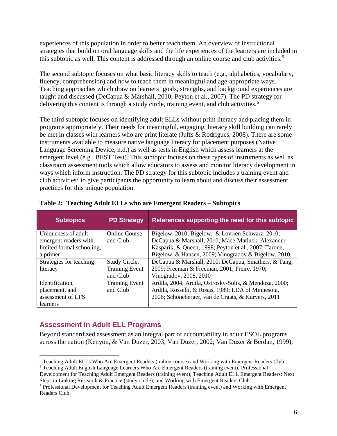experiences of this population in order to better teach them. An overview of instructional strategies that build on oral language skills and the life experiences of the learners are included in this subtopic as well. This content is addressed through an online course and club activities. [5](#page-9-1)

The second subtopic focuses on what basic literacy skills to teach (e.g., alphabetics, vocabulary, fluency, comprehension) and how to teach them in meaningful and age-appropriate ways. Teaching approaches which draw on learners' goals, strengths, and background experiences are taught and discussed (DeCapua & Marshall, 2010; Peyton et al., 2007). The PD strategy for delivering this content is through a study circle, training event, and club activities.<sup>[6](#page-9-2)</sup>

The third subtopic focuses on identifying adult ELLs without print literacy and placing them in programs appropriately. Their needs for meaningful, engaging, literacy skill building can rarely be met in classes with learners who are print literate (Juffs & Rodrigues, 2008). There are some instruments available to measure native language literacy for placement purposes (Native Language Screening Device, n.d.) as well as tests in English which assess learners at the emergent level (e.g., BEST Test). This subtopic focuses on these types of instruments as well as classroom assessment tools which allow educators to assess and monitor literacy development in ways which inform instruction. The PD strategy for this subtopic includes a training event and club activities<sup>[7](#page-9-3)</sup> to give participants the opportunity to learn about and discuss their assessment practices for this unique population.

| <b>Subtopics</b>          | <b>PD Strategy</b>    | References supporting the need for this subtopic       |
|---------------------------|-----------------------|--------------------------------------------------------|
| Uniqueness of adult       | <b>Online Course</b>  | Bigelow, 2010; Bigelow, & Lovrien Schwarz, 2010;       |
| emergent readers with     | and Club              | DeCapua & Marshall, 2010; Mace-Matluck, Alexander-     |
| limited formal schooling, |                       | Kasparik, & Queen, 1998; Peyton et al., 2007; Tarone,  |
| a primer                  |                       | Bigelow, & Hansen, 2009; Vinogradov & Bigelow, 2010    |
| Strategies for teaching   | Study Circle,         | DeCapua & Marshall, 2010; DeCapua, Smathers, & Tang,   |
| literacy                  | <b>Training Event</b> | 2009; Freeman & Freeman, 2001; Freire, 1970;           |
|                           | and Club              | Vinogradov, 2008, 2010                                 |
| Identification,           | <b>Training Event</b> | Ardila, 2004; Ardila, Ostrosky-Solis, & Mendoza, 2000; |
| placement, and            | and Club              | Ardila, Rosselli, & Rosas, 1989; LDA of Minnesota,     |
| assessment of LFS         |                       | 2006; Schöneberger, van de Craats, & Kurvers, 2011     |
| learners                  |                       |                                                        |

**Table 2: Teaching Adult ELLs who are Emergent Readers – Subtopics**

### <span id="page-9-0"></span>**Assessment in Adult ELL Programs**

Beyond standardized assessment as an integral part of accountability in adult ESOL programs across the nation (Kenyon, & Van Duzer, 2003; Van Duzer, 2002; Van Duzer & Berdan, 1999),

Development for Teaching Adult Emergent Readers (training event); Teaching Adult ELL Emergent Readers: Next Steps in Linking Research & Practice (study circle); and Working with Emergent Readers Club.

<span id="page-9-1"></span><sup>5</sup> Teaching Adult ELLs Who Are Emergent Readers (online course) and Working with Emergent Readers Club.  $\overline{a}$ 

<span id="page-9-2"></span><sup>6</sup> Teaching Adult English Language Learners Who Are Emergent Readers (training event); Professional

<span id="page-9-3"></span> $7$  Professional Development for Teaching Adult Emergent Readers (training event) and Working with Emergent Readers Club.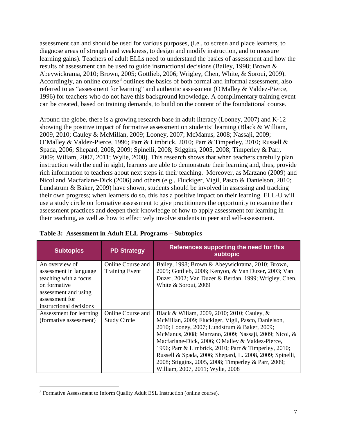assessment can and should be used for various purposes, (i.e., to screen and place learners, to diagnose areas of strength and weakness, to design and modify instruction, and to measure learning gains). Teachers of adult ELLs need to understand the basics of assessment and how the results of assessment can be used to guide instructional decisions (Bailey, 1998; Brown & Abeywickrama, 2010; Brown, 2005; Gottlieb, 2006; Wrigley, Chen, White, & Soroui, 2009). Accordingly, an online course  $\delta$  outlines the basics of both formal and informal assessment, also referred to as "assessment for learning" and authentic assessment (O'Malley & Valdez-Pierce, 1996) for teachers who do not have this background knowledge. A complimentary training event can be created, based on training demands, to build on the content of the foundational course.

Around the globe, there is a growing research base in adult literacy (Looney, 2007) and K-12 showing the positive impact of formative assessment on students' learning (Black & William, 2009, 2010; Cauley & McMillan, 2009; Looney, 2007; McManus, 2008; Nassaji, 2009; O'Malley & Valdez-Pierce, 1996; Parr & Limbrick, 2010; Parr & Timperley, 2010; Russell & Spada, 2006; Shepard, 2008, 2009; Spinelli, 2008; Stiggins, 2005, 2008; Timperley & Parr, 2009; Wiliam, 2007, 2011; Wylie, 2008). This research shows that when teachers carefully plan instruction with the end in sight, learners are able to demonstrate their learning and, thus, provide rich information to teachers about next steps in their teaching. Moreover, as Marzano (2009) and Nicol and Macfarlane-Dick (2006) and others (e.g., Fluckiger, Vigil, Pasco & Danielson, 2010; Lundstrum & Baker, 2009) have shown, students should be involved in assessing and tracking their own progress; when learners do so, this has a positive impact on their learning. ELL-U will use a study circle on formative assessment to give practitioners the opportunity to examine their assessment practices and deepen their knowledge of how to apply assessment for learning in their teaching, as well as how to effectively involve students in peer and self-assessment.

| <b>PD Strategy</b>                         | References supporting the need for this<br>subtopic                                                                                                                                                                                                                                                                                                                                                                             |
|--------------------------------------------|---------------------------------------------------------------------------------------------------------------------------------------------------------------------------------------------------------------------------------------------------------------------------------------------------------------------------------------------------------------------------------------------------------------------------------|
| Online Course and<br><b>Training Event</b> | Bailey, 1998; Brown & Abeywickrama, 2010; Brown,<br>2005; Gottlieb, 2006; Kenyon, & Van Duzer, 2003; Van<br>Duzer, 2002; Van Duzer & Berdan, 1999; Wrigley, Chen,<br>White & Soroui, 2009                                                                                                                                                                                                                                       |
| Online Course and                          | Black & Wiliam, 2009, 2010; 2010; Cauley, &                                                                                                                                                                                                                                                                                                                                                                                     |
| <b>Study Circle</b>                        | McMillan, 2009; Fluckiger, Vigil, Pasco, Danielson,<br>2010; Looney, 2007; Lundstrum & Baker, 2009;<br>McManus, 2008; Marzano, 2009; Nassaji, 2009; Nicol, &<br>Macfarlane-Dick, 2006; O'Malley & Valdez-Pierce,<br>1996; Parr & Limbrick, 2010; Parr & Timperley, 2010;<br>Russell & Spada, 2006; Shepard, L. 2008, 2009; Spinelli,<br>2008; Stiggins, 2005, 2008; Timperley & Parr, 2009;<br>William, 2007, 2011; Wylie, 2008 |
|                                            |                                                                                                                                                                                                                                                                                                                                                                                                                                 |

|  | Table 3: Assessment in Adult ELL Programs - Subtopics |  |  |  |
|--|-------------------------------------------------------|--|--|--|
|--|-------------------------------------------------------|--|--|--|

 $\overline{a}$ 

<span id="page-10-0"></span><sup>8</sup> Formative Assessment to Inform Quality Adult ESL Instruction (online course).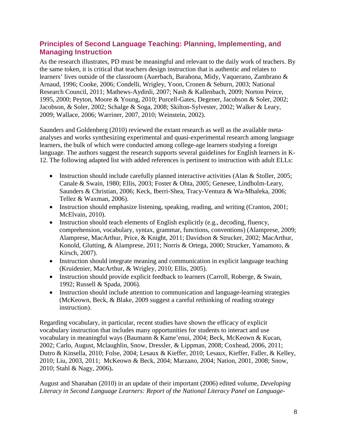### <span id="page-11-0"></span>**Principles of Second Language Teaching: Planning, Implementing, and Managing Instruction**

As the research illustrates, PD must be meaningful and relevant to the daily work of teachers. By the same token, it is critical that teachers design instruction that is authentic and relates to learners' lives outside of the classroom (Auerbach, Barahona, Midy, Vaquerano, Zambrano & Arnaud, 1996; Cooke, 2006; Condelli, Wrigley, Yoon, Cronen & Seburn, 2003; National Research Council, 2011; Mathews-Aydinli, 2007; Nash & Kallenbach, 2009; Norton Peirce, 1995, 2000; Peyton, Moore & Young, 2010; Purcell-Gates, Degener, Jacobson & Soler, 2002; Jacobson, & Soler, 2002; Schalge & Soga, 2008; Skilton-Sylvester, 2002; Walker & Leary, 2009; Wallace, 2006; Warriner, 2007, 2010; Weinstein, 2002).

Saunders and Goldenberg (2010) reviewed the extant research as well as the available metaanalyses and works synthesizing experimental and quasi-experimental research among language learners, the bulk of which were conducted among college-age learners studying a foreign language. The authors suggest the research supports several guidelines for English learners in K-12. The following adapted list with added references is pertinent to instruction with adult ELLs:

- Instruction should include carefully planned interactive activities (Alan & Stoller, 2005; Canale & Swain, 1980; Ellis, 2003; Foster & Ohta, 2005; Genesee, Lindholm-Leary, Saunders & Christian, 2006; Keck, Iberri-Shea, Tracy-Ventura & Wa-Mbaleka, 2006; Tellez & Waxman, 2006).
- Instruction should emphasize listening, speaking, reading, and writing (Cranton, 2001; McElvain, 2010).
- Instruction should teach elements of English explicitly (e.g., decoding, fluency, comprehension, vocabulary, syntax, grammar, functions, conventions) (Alamprese, 2009; Alamprese, MacArthur, Price, & Knight, 2011; Davidson & Strucker, 2002; MacArthur, Konold, Glutting, & Alamprese, 2011; Norris & Ortega, 2000; Strucker, Yamamoto, & Kirsch, 2007).
- Instruction should integrate meaning and communication in explicit language teaching (Kruidenier, MacArthur, & Wrigley, 2010; Ellis, 2005).
- Instruction should provide explicit feedback to learners (Carroll, Roberge, & Swain, 1992; Russell & Spada, 2006).
- Instruction should include attention to communication and language-learning strategies (McKeown, Beck, & Blake, 2009 suggest a careful rethinking of reading strategy instruction).

Regarding vocabulary, in particular, recent studies have shown the efficacy of explicit vocabulary instruction that includes many opportunities for students to interact and use vocabulary in meaningful ways (Baumann & Kame'enui, 2004; Beck, McKeown & Kucan, 2002; Carlo, August, Mclaughlin, Snow, Dressler, & Lippman, 2008; Coxhead, 2006, 2011; Dutro & Kinsella, 2010; Folse, 2004; Lesaux & Kieffer, 2010; Lesaux, Kieffer, Faller, & Kelley, 2010; Liu, 2003, 2011; McKeown & Beck, 2004; Marzano, 2004; Nation, 2001, 2008; Snow, 2010; Stahl & Nagy, 2006)**.**

August and Shanahan (2010) in an update of their important (2006) edited volume, *Developing Literacy in Second Language Learners: Report of the National Literacy Panel on Language-*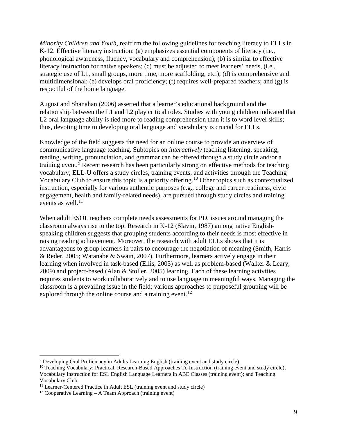*Minority Children and Youth,* reaffirm the following guidelines for teaching literacy to ELLs in K-12. Effective literacy instruction: (a) emphasizes essential components of literacy (i.e., phonological awareness, fluency, vocabulary and comprehension); (b) is similar to effective literacy instruction for native speakers; (c) must be adjusted to meet learners' needs, (i.e., strategic use of L1, small groups, more time, more scaffolding, etc.); (d) is comprehensive and multidimensional; (e) develops oral proficiency; (f) requires well-prepared teachers; and (g) is respectful of the home language.

August and Shanahan (2006) asserted that a learner's educational background and the relationship between the L1 and L2 play critical roles. Studies with young children indicated that L<sub>2</sub> oral language ability is tied more to reading comprehension than it is to word level skills; thus, devoting time to developing oral language and vocabulary is crucial for ELLs.

Knowledge of the field suggests the need for an online course to provide an overview of communicative language teaching. Subtopics on *interactively* teaching listening, speaking, reading, writing, pronunciation, and grammar can be offered through a study circle and/or a training event.<sup>[9](#page-12-0)</sup> Recent research has been particularly strong on effective methods for teaching vocabulary; ELL-U offers a study circles, training events, and activities through the Teaching Vocabulary Club to ensure this topic is a priority offering. [10](#page-12-1) Other topics such as contextualized instruction, especially for various authentic purposes (e.g., college and career readiness, civic engagement, health and family-related needs), are pursued through study circles and training events as well.<sup>[11](#page-12-2)</sup>

When adult ESOL teachers complete needs assessments for PD, issues around managing the classroom always rise to the top. Research in K-12 (Slavin, 1987) among native Englishspeaking children suggests that grouping students according to their needs is most effective in raising reading achievement. Moreover, the research with adult ELLs shows that it is advantageous to group learners in pairs to encourage the negotiation of meaning (Smith, Harris & Reder, 2005; Watanabe & Swain, 2007). Furthermore, learners actively engage in their learning when involved in task-based (Ellis, 2003) as well as problem-based (Walker & Leary, 2009) and project-based (Alan & Stoller, 2005) learning. Each of these learning activities requires students to work collaboratively and to use language in meaningful ways. Managing the classroom is a prevailing issue in the field; various approaches to purposeful grouping will be explored through the online course and a training event.<sup>[12](#page-12-3)</sup>

 $\overline{a}$ 

<span id="page-12-0"></span><sup>9</sup> Developing Oral Proficiency in Adults Learning English (training event and study circle).

<span id="page-12-1"></span><sup>&</sup>lt;sup>10</sup> Teaching Vocabulary: Practical, Research-Based Approaches To Instruction (training event and study circle); Vocabulary Instruction for ESL English Language Learners in ABE Classes (training event); and Teaching Vocabulary Club.

<span id="page-12-2"></span><sup>&</sup>lt;sup>11</sup> Learner-Centered Practice in Adult ESL (training event and study circle)

<span id="page-12-3"></span><sup>&</sup>lt;sup>12</sup> Cooperative Learning – A Team Approach (training event)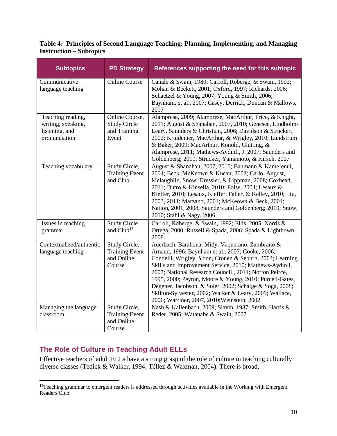**Table 4: Principles of Second Language Teaching: Planning, Implementing, and Managing Instruction – Subtopics**

| <b>Subtopics</b>                                                           | <b>PD Strategy</b>                                             | References supporting the need for this subtopic                                                                                                                                                                                                                                                                                                                                                                                                                                                                   |
|----------------------------------------------------------------------------|----------------------------------------------------------------|--------------------------------------------------------------------------------------------------------------------------------------------------------------------------------------------------------------------------------------------------------------------------------------------------------------------------------------------------------------------------------------------------------------------------------------------------------------------------------------------------------------------|
| Communicative<br>language teaching                                         | <b>Online Course</b>                                           | Canale & Swain, 1980; Carroll, Roberge, & Swain, 1992;<br>Mohan & Beckett, 2001; Oxford, 1997; Richards, 2006;<br>Schaetzel & Young, 2007; Young & Smith, 2006;<br>Baynham, et al., 2007; Casey, Derrick, Duncan & Mallows,<br>2007                                                                                                                                                                                                                                                                                |
| Teaching reading,<br>writing, speaking,<br>listening, and<br>pronunciation | Online Course,<br><b>Study Circle</b><br>and Training<br>Event | Alamprese, 2009; Alamprese, MacArthur, Price, & Knight,<br>2011; August & Shanahan, 2007, 2010; Genesee, Lindholm-<br>Leary, Saunders & Christian, 2006; Davidson & Strucker,<br>2002; Kruidenier, MacArthur, & Wrigley, 2010; Lundstrum<br>& Baker, 2009; MacArthur, Konold, Glutting, &<br>Alamprese, 2011; Mathews-Aydinli, J. 2007; Saunders and<br>Goldenberg; 2010; Strucker, Yamamoto, & Kirsch, 2007                                                                                                       |
| Teaching vocabulary                                                        | Study Circle,<br><b>Training Event</b><br>and Club             | August & Shanahan, 2007, 2010; Baumann & Kame'enui,<br>2004; Beck, McKeown & Kucan, 2002; Carlo, August,<br>Mclaughlin, Snow, Dressler, & Lippman, 2008; Coxhead,<br>2011; Dutro & Kinsella, 2010; Folse, 2004; Lesaux &<br>Kieffer, 2010; Lesaux, Kieffer, Faller, & Kelley, 2010; Liu,<br>2003, 2011; Marzano, 2004; McKeown & Beck, 2004;<br>Nation, 2001, 2008; Saunders and Goldenberg; 2010; Snow,<br>2010; Stahl & Nagy, 2006                                                                               |
| Issues in teaching<br>grammar                                              | <b>Study Circle</b><br>and Club <sup>13</sup>                  | Carroll, Roberge, & Swain, 1992; Ellis, 2005; Norris &<br>Ortega, 2000; Russell & Spada, 2006; Spada & Lightbown,<br>2008                                                                                                                                                                                                                                                                                                                                                                                          |
| Contextualized/authentic<br>language teaching                              | Study Circle,<br><b>Training Event</b><br>and Online<br>Course | Auerbach, Barahona, Midy, Vaquerano, Zambrano &<br>Arnaud, 1996; Baynham et al., 2007; Cooke, 2006;<br>Condelli, Wrigley, Yoon, Cronen & Seburn, 2003; Learning<br>Skills and Improvement Service, 2010; Mathews-Aydinli,<br>2007; National Research Council, 2011; Norton Peirce,<br>1995, 2000; Peyton, Moore & Young, 2010; Purcell-Gates,<br>Degener, Jacobson, & Soler, 2002; Schalge & Soga, 2008;<br>Skilton-Sylvester, 2002; Walker & Leary, 2009; Wallace,<br>2006; Warriner, 2007, 2010; Weinstein, 2002 |
| Managing the language<br>classroom                                         | Study Circle,<br><b>Training Event</b><br>and Online<br>Course | Nash & Kallenbach, 2009; Slavin, 1987; Smith, Harris &<br>Reder, 2005; Watanabe & Swain, 2007                                                                                                                                                                                                                                                                                                                                                                                                                      |

### <span id="page-13-0"></span>**The Role of Culture in Teaching Adult ELLs**

 $\overline{a}$ 

Effective teachers of adult ELLs have a strong grasp of the role of culture in teaching culturally diverse classes (Tedick & Walker, 1994; Téllez & Waxman, 2004). There is broad,

<span id="page-13-1"></span><sup>&</sup>lt;sup>13</sup>Teaching grammar to emergent readers is addressed through activities available in the Working with Emergent Readers Club.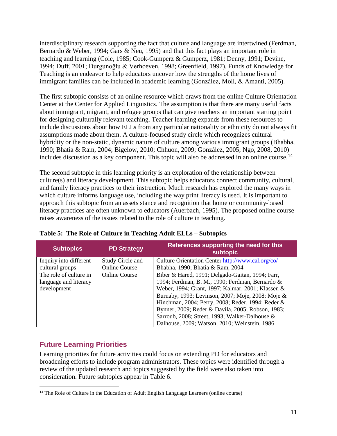interdisciplinary research supporting the fact that culture and language are intertwined (Ferdman, Bernardo & Weber, 1994; Gars & Neu, 1995) and that this fact plays an important role in teaching and learning (Cole, 1985; Cook-Gumperz & Gumperz, 1981; Denny, 1991; Devine, 1994; Duff, 2001; Durgunoğlu & Verhoeven, 1998; Greenfield, 1997). Funds of Knowledge for Teaching is an endeavor to help educators uncover how the strengths of the home lives of immigrant families can be included in academic learning (González, Moll, & Amanti, 2005).

The first subtopic consists of an online resource which draws from the online Culture Orientation Center at the Center for Applied Linguistics. The assumption is that there are many useful facts about immigrant, migrant, and refugee groups that can give teachers an important starting point for designing culturally relevant teaching. Teacher learning expands from these resources to include discussions about how ELLs from any particular nationality or ethnicity do not always fit assumptions made about them. A culture-focused study circle which recognizes cultural hybridity or the non-static, dynamic nature of culture among various immigrant groups (Bhabha, 1990; Bhatia & Ram, 2004; Bigelow, 2010; Chhuon, 2009; González, 2005; Ngo, 2008, 2010) includes discussion as a key component. This topic will also be addressed in an online course.<sup>[14](#page-14-1)</sup>

The second subtopic in this learning priority is an exploration of the relationship between culture(s) and literacy development. This subtopic helps educators connect community, cultural, and family literacy practices to their instruction. Much research has explored the many ways in which culture informs language use, including the way print literacy is used. It is important to approach this subtopic from an assets stance and recognition that home or community-based literacy practices are often unknown to educators (Auerbach, 1995). The proposed online course raises awareness of the issues related to the role of culture in teaching.

| <b>Subtopics</b>       | <b>PD Strategy</b>   | References supporting the need for this<br>subtopic |
|------------------------|----------------------|-----------------------------------------------------|
| Inquiry into different | Study Circle and     | Culture Orientation Center http://www.cal.org/co/   |
| cultural groups        | <b>Online Course</b> | Bhabha, 1990; Bhatia & Ram, 2004                    |
| The role of culture in | <b>Online Course</b> | Biber & Hared, 1991; Delgado-Gaitan, 1994; Farr,    |
| language and literacy  |                      | 1994; Ferdman, B. M., 1990; Ferdman, Bernardo &     |
| development            |                      | Weber, 1994; Grant, 1997; Kalmar, 2001; Klassen &   |
|                        |                      | Burnaby, 1993; Levinson, 2007; Moje, 2008; Moje &   |
|                        |                      | Hinchman, 2004; Perry, 2008; Reder, 1994; Reder &   |
|                        |                      | Bynner, 2009; Reder & Davila, 2005; Robson, 1983;   |
|                        |                      | Sarroub, 2008; Street, 1993; Walker-Dalhouse &      |
|                        |                      | Dalhouse, 2009; Watson, 2010; Weinstein, 1986       |

**Table 5: The Role of Culture in Teaching Adult ELLs – Subtopics**

### <span id="page-14-0"></span>**Future Learning Priorities**

Learning priorities for future activities could focus on extending PD for educators and broadening efforts to include program administrators. These topics were identified through a review of the updated research and topics suggested by the field were also taken into consideration. Future subtopics appear in Table 6.

<span id="page-14-1"></span><sup>&</sup>lt;sup>14</sup> The Role of Culture in the Education of Adult English Language Learners (online course)  $\overline{a}$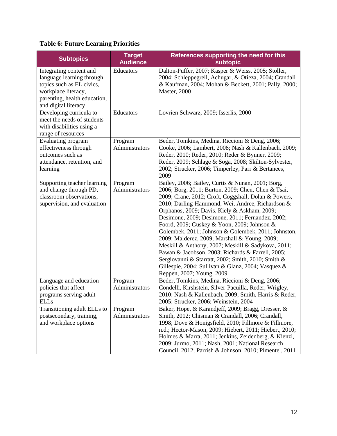# **Table 6: Future Learning Priorities**

| <b>Subtopics</b>                                                                                                                                                 | <b>Target</b><br><b>Audience</b> | References supporting the need for this<br>subtopic                                                                                                                                                                                                                                                                                                                                                                                                                                                                                                                                                                                                                                                                                |
|------------------------------------------------------------------------------------------------------------------------------------------------------------------|----------------------------------|------------------------------------------------------------------------------------------------------------------------------------------------------------------------------------------------------------------------------------------------------------------------------------------------------------------------------------------------------------------------------------------------------------------------------------------------------------------------------------------------------------------------------------------------------------------------------------------------------------------------------------------------------------------------------------------------------------------------------------|
| Integrating content and<br>language learning through<br>topics such as EL civics,<br>workplace literacy,<br>parenting, health education,<br>and digital literacy | Educators                        | Dalton-Puffer, 2007; Kasper & Weiss, 2005; Stoller,<br>2004; Schleppegrell, Achugar, & Otieza, 2004; Crandall<br>& Kaufman, 2004; Mohan & Beckett, 2001; Pally, 2000;<br>Master, 2000                                                                                                                                                                                                                                                                                                                                                                                                                                                                                                                                              |
| Developing curricula to<br>meet the needs of students<br>with disabilities using a<br>range of resources                                                         | Educators                        | Lovrien Schwarz, 2009; Isserlis, 2000                                                                                                                                                                                                                                                                                                                                                                                                                                                                                                                                                                                                                                                                                              |
| Evaluating program<br>effectiveness through<br>outcomes such as<br>attendance, retention, and<br>learning                                                        | Program<br>Administrators        | Beder, Tomkins, Medina, Riccioni & Deng, 2006;<br>Cooke, 2006; Lambert, 2008; Nash & Kallenbach, 2009;<br>Reder, 2010; Reder, 2010; Reder & Bynner, 2009;<br>Reder, 2009; Schlage & Soga, 2008; Skilton-Sylvester,<br>2002; Strucker, 2006; Timperley, Parr & Bertanees,<br>2009                                                                                                                                                                                                                                                                                                                                                                                                                                                   |
| Supporting teacher learning<br>and change through PD,<br>classroom observations,<br>supervision, and evaluation                                                  | Program<br>Administrators        | Bailey, 2006; Bailey, Curtis & Nunan, 2001; Borg,<br>2006; Borg, 2011; Burton, 2009; Chen, Chen & Tsai,<br>2009; Crane, 2012; Croft, Coggshall, Dolan & Powers,<br>2010; Darling-Hammond, Wei, Andree, Richardson &<br>Orphanos, 2009; Davis, Kiely & Askham, 2009;<br>Desimone, 2009; Desimone, 2011; Fernandez, 2002;<br>Foord, 2009; Guskey & Yoon, 2009; Johnson &<br>Golembek, 2011; Johnson & Golembek, 2011; Johnston,<br>2009; Malderez, 2009; Marshall & Young, 2009;<br>Meskill & Anthony, 2007; Meskill & Sadykova, 2011;<br>Pawan & Jacobson, 2003; Richards & Farrell, 2005;<br>Sergiovanni & Starratt, 2002; Smith, 2010; Smith &<br>Gillespie, 2004; Sullivan & Glanz, 2004; Vasquez &<br>Reppen, 2007; Young, 2009 |
| Language and education<br>policies that affect<br>programs serving adult<br><b>ELLs</b>                                                                          | Program<br>Administrators        | Beder, Tomkins, Medina, Riccioni & Deng, 2006;<br>Condelli, Kirshstein, Silver-Pacuilla, Reder, Wrigley,<br>2010; Nash & Kallenbach, 2009; Smith, Harris & Reder,<br>2005; Strucker, 2006; Weinstein, 2004                                                                                                                                                                                                                                                                                                                                                                                                                                                                                                                         |
| Transitioning adult ELLs to<br>postsecondary, training,<br>and workplace options                                                                                 | Program<br>Administrators        | Baker, Hope, & Karandjeff, 2009; Bragg, Dresser, &<br>Smith, 2012; Chisman & Crandall, 2006; Crandall,<br>1998; Dove & Honigsfield, 2010; Fillmore & Fillmore,<br>n.d.; Hector-Mason, 2009; Hiebert, 2011; Hiebert, 2010;<br>Holmes & Marra, 2011; Jenkins, Zeidenberg, & Kienzl,<br>2009; Jurmo, 2011; Nash, 2001; National Research<br>Council, 2012; Parrish & Johnson, 2010; Pimentel, 2011                                                                                                                                                                                                                                                                                                                                    |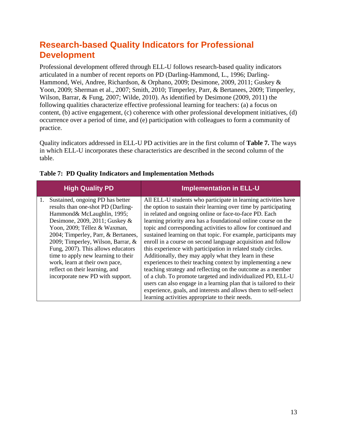# <span id="page-16-0"></span>**Research-based Quality Indicators for Professional Development**

Professional development offered through ELL-U follows research-based quality indicators articulated in a number of recent reports on PD (Darling-Hammond, L., 1996; Darling-Hammond, Wei, Andree, Richardson, & Orphano, 2009; Desimone, 2009, 2011; Guskey & Yoon, 2009; Sherman et al., 2007; Smith, 2010; Timperley, Parr, & Bertanees, 2009; Timperley, Wilson, Barrar, & Fung, 2007; Wilde, 2010). As identified by Desimone (2009, 2011) the following qualities characterize effective professional learning for teachers: (a) a focus on content, (b) active engagement, (c) coherence with other professional development initiatives, (d) occurrence over a period of time, and (e) participation with colleagues to form a community of practice.

Quality indicators addressed in ELL-U PD activities are in the first column of **Table 7.** The ways in which ELL-U incorporates these characteristics are described in the second column of the table.

|    | <b>High Quality PD</b>                                                                                                                                                                                                                                                                                                                                                                                                                   | <b>Implementation in ELL-U</b>                                                                                                                                                                                                                                                                                                                                                                                                                                                                                                                                                                                                                                                                                                                                                                                                                                                                                                                                                      |
|----|------------------------------------------------------------------------------------------------------------------------------------------------------------------------------------------------------------------------------------------------------------------------------------------------------------------------------------------------------------------------------------------------------------------------------------------|-------------------------------------------------------------------------------------------------------------------------------------------------------------------------------------------------------------------------------------------------------------------------------------------------------------------------------------------------------------------------------------------------------------------------------------------------------------------------------------------------------------------------------------------------------------------------------------------------------------------------------------------------------------------------------------------------------------------------------------------------------------------------------------------------------------------------------------------------------------------------------------------------------------------------------------------------------------------------------------|
| 1. | Sustained, ongoing PD has better<br>results than one-shot PD (Darling-<br>Hammond& McLaughlin, 1995;<br>Desimone, 2009, 2011; Guskey &<br>Yoon, 2009; Téllez & Waxman,<br>2004; Timperley, Parr, & Bertanees,<br>2009; Timperley, Wilson, Barrar, &<br>Fung, 2007). This allows educators<br>time to apply new learning to their<br>work, learn at their own pace,<br>reflect on their learning, and<br>incorporate new PD with support. | All ELL-U students who participate in learning activities have<br>the option to sustain their learning over time by participating<br>in related and ongoing online or face-to-face PD. Each<br>learning priority area has a foundational online course on the<br>topic and corresponding activities to allow for continued and<br>sustained learning on that topic. For example, participants may<br>enroll in a course on second language acquisition and follow<br>this experience with participation in related study circles.<br>Additionally, they may apply what they learn in these<br>experiences to their teaching context by implementing a new<br>teaching strategy and reflecting on the outcome as a member<br>of a club. To promote targeted and individualized PD, ELL-U<br>users can also engage in a learning plan that is tailored to their<br>experience, goals, and interests and allows them to self-select<br>learning activities appropriate to their needs. |

#### **Table 7: PD Quality Indicators and Implementation Methods**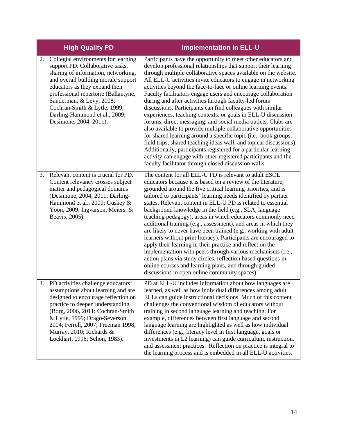|    | <b>High Quality PD</b>                                                                                                                                                                                                                                                                                                                                 | <b>Implementation in ELL-U</b>                                                                                                                                                                                                                                                                                                                                                                                                                                                                                                                                                                                                                                                                                                                                                                                                                                                                                                                                                                                                                                        |
|----|--------------------------------------------------------------------------------------------------------------------------------------------------------------------------------------------------------------------------------------------------------------------------------------------------------------------------------------------------------|-----------------------------------------------------------------------------------------------------------------------------------------------------------------------------------------------------------------------------------------------------------------------------------------------------------------------------------------------------------------------------------------------------------------------------------------------------------------------------------------------------------------------------------------------------------------------------------------------------------------------------------------------------------------------------------------------------------------------------------------------------------------------------------------------------------------------------------------------------------------------------------------------------------------------------------------------------------------------------------------------------------------------------------------------------------------------|
| 2. | Collegial environments for learning<br>support PD. Collaborative tasks,<br>sharing of information, networking,<br>and overall building morale support<br>educators as they expand their<br>professional repertoire (Ballantyne,<br>Sanderman, & Levy, 2008;<br>Cochran-Smith & Lytle, 1999;<br>Darling-Hammond et al., 2009;<br>Desimone, 2004, 2011). | Participants have the opportunity to meet other educators and<br>develop professional relationships that support their learning<br>through multiple collaborative spaces available on the website.<br>All ELL-U activities invite educators to engage in networking<br>activities beyond the face-to-face or online learning events.<br>Faculty facilitators engage users and encourage collaboration<br>during and after activities through faculty-led forum<br>discussions. Participants can find colleagues with similar<br>experiences, teaching contexts, or goals in ELL-U discussion<br>forums, direct messaging, and social media outlets. Clubs are<br>also available to provide multiple collaborative opportunities<br>for shared learning around a specific topic (i.e., book groups,<br>field trips, shared teaching ideas wall, and topical discussions).<br>Additionally, participants registered for a particular learning<br>activity can engage with other registered participants and the<br>faculty facilitator through closed discussion walls. |
| 3. | Relevant content is crucial for PD.<br>Content relevancy crosses subject<br>matter and pedagogical domains<br>(Desimone, 2004, 2011; Darling-<br>Hammond et al., 2009; Guskey &<br>Yoon, 2009; Ingvarson, Meiers, &<br>Beavis, 2005).                                                                                                                  | The content for all ELL-U PD is relevant to adult ESOL<br>educators because it is based on a review of the literature,<br>grounded around the five critical learning priorities, and is<br>tailored to participants' learning needs identified by partner<br>states. Relevant content in ELL-U PD is related to essential<br>background knowledge in the field (e.g., SLA, language<br>teaching pedagogy), areas in which educators commonly need<br>additional training (e.g., assessment), and areas in which they<br>are likely to never have been trained (e.g., working with adult<br>learners without print literacy). Participants are encouraged to<br>apply their learning in their practice and reflect on the<br>implementation with peers through various mechanisms (i.e.,<br>action plans via study circles, reflection based questions in<br>online courses and learning plans, and through guided<br>discussions in open online community spaces).                                                                                                    |
|    | 4. PD activities challenge educators'<br>assumptions about learning and are<br>designed to encourage reflection on<br>practice to deepen understanding<br>(Borg, 2006, 2011; Cochran-Smith<br>& Lytle, 1999; Drago-Severson,<br>2004; Ferrell, 2007; Freeman 1998;<br>Murray, 2010; Richards &<br>Lockhart, 1996; Schon, 1983).                        | PD at ELL-U includes information about how languages are<br>learned, as well as how individual differences among adult<br>ELLs can guide instructional decisions. Much of this content<br>challenges the conventional wisdom of educators without<br>training in second language learning and teaching. For<br>example, differences between first language and second<br>language learning are highlighted as well as how individual<br>differences (e.g., literacy level in first language, goals or<br>investments in L2 learning) can guide curriculum, instruction,<br>and assessment practices. Reflection on practice is integral to<br>the learning process and is embedded in all ELL-U activities.                                                                                                                                                                                                                                                                                                                                                           |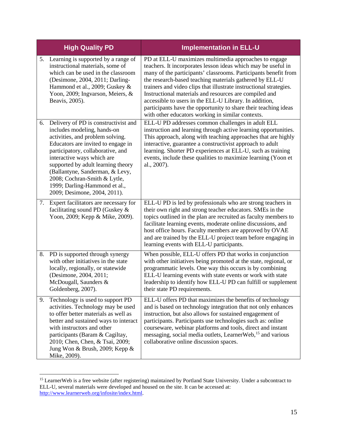|    | <b>High Quality PD</b>                                                                                                                                                                                                                                                                                                                                                                     | <b>Implementation in ELL-U</b>                                                                                                                                                                                                                                                                                                                                                                                                                                                                                                                                         |
|----|--------------------------------------------------------------------------------------------------------------------------------------------------------------------------------------------------------------------------------------------------------------------------------------------------------------------------------------------------------------------------------------------|------------------------------------------------------------------------------------------------------------------------------------------------------------------------------------------------------------------------------------------------------------------------------------------------------------------------------------------------------------------------------------------------------------------------------------------------------------------------------------------------------------------------------------------------------------------------|
| 5. | Learning is supported by a range of<br>instructional materials, some of<br>which can be used in the classroom<br>(Desimone, 2004, 2011; Darling-<br>Hammond et al., 2009; Guskey &<br>Yoon, 2009; Ingvarson, Meiers, &<br>Beavis, 2005).                                                                                                                                                   | PD at ELL-U maximizes multimedia approaches to engage<br>teachers. It incorporates lesson ideas which may be useful in<br>many of the participants' classrooms. Participants benefit from<br>the research-based teaching materials gathered by ELL-U<br>trainers and video clips that illustrate instructional strategies.<br>Instructional materials and resources are compiled and<br>accessible to users in the ELL-U Library. In addition,<br>participants have the opportunity to share their teaching ideas<br>with other educators working in similar contexts. |
| 6. | Delivery of PD is constructivist and<br>includes modeling, hands-on<br>activities, and problem solving.<br>Educators are invited to engage in<br>participatory, collaborative, and<br>interactive ways which are<br>supported by adult learning theory<br>(Ballantyne, Sanderman, & Levy,<br>2008; Cochran-Smith & Lytle,<br>1999; Darling-Hammond et al.,<br>2009; Desimone, 2004, 2011). | ELL-U PD addresses common challenges in adult ELL<br>instruction and learning through active learning opportunities.<br>This approach, along with teaching approaches that are highly<br>interactive, guarantee a constructivist approach to adult<br>learning. Shorter PD experiences at ELL-U, such as training<br>events, include these qualities to maximize learning (Yoon et<br>al., 2007).                                                                                                                                                                      |
| 7. | Expert facilitators are necessary for<br>facilitating sound PD (Guskey &<br>Yoon, 2009; Kepp & Mike, 2009).                                                                                                                                                                                                                                                                                | ELL-U PD is led by professionals who are strong teachers in<br>their own right and strong teacher educators. SMEs in the<br>topics outlined in the plan are recruited as faculty members to<br>facilitate learning events, moderate online discussions, and<br>host office hours. Faculty members are approved by OVAE<br>and are trained by the ELL-U project team before engaging in<br>learning events with ELL-U participants.                                                                                                                                     |
| 8. | PD is supported through synergy<br>with other initiatives in the state<br>locally, regionally, or statewide<br>(Desimone, 2004, 2011;<br>McDougall, Saunders &<br>Goldenberg, 2007).                                                                                                                                                                                                       | When possible, ELL-U offers PD that works in conjunction<br>with other initiatives being promoted at the state, regional, or<br>programmatic levels. One way this occurs is by combining<br>ELL-U learning events with state events or work with state<br>leadership to identify how ELL-U PD can fulfill or supplement<br>their state PD requirements.                                                                                                                                                                                                                |
| 9. | Technology is used to support PD<br>activities. Technology may be used<br>to offer better materials as well as<br>better and sustained ways to interact<br>with instructors and other<br>participants (Baram & Cagiltay,<br>2010; Chen, Chen, & Tsai, 2009;<br>Jung Won & Brush, 2009; Kepp &<br>Mike, 2009).                                                                              | ELL-U offers PD that maximizes the benefits of technology<br>and is based on technology integration that not only enhances<br>instruction, but also allows for sustained engagement of<br>participants. Participants use technologies such as: online<br>courseware, webinar platforms and tools, direct and instant<br>messaging, social media outlets, LearnerWeb, <sup>15</sup> and various<br>collaborative online discussion spaces.                                                                                                                              |

<span id="page-18-0"></span><sup>&</sup>lt;sup>15</sup> LearnerWeb is a free website (after registering) maintained by Portland State University. Under a subcontract to ELL-U, several materials were developed and housed on the site. It can be accessed at: [http://www.learnerweb.org/infosite/index.html.](http://www.learnerweb.org/infosite/index.html)  $\overline{a}$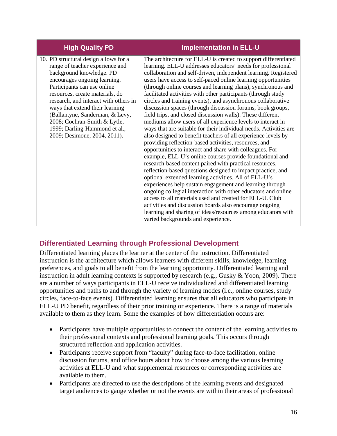| <b>High Quality PD</b>                                                                                                                                                                                                                                                                                                                                                                                                 | <b>Implementation in ELL-U</b>                                                                                                                                                                                                                                                                                                                                                                                                                                                                                                                                                                                                                                                                                                                                                                                                                                                                                                                                                                                                                                                                                                                                                                                                                                                                                                                                                                                                                                                                                                     |
|------------------------------------------------------------------------------------------------------------------------------------------------------------------------------------------------------------------------------------------------------------------------------------------------------------------------------------------------------------------------------------------------------------------------|------------------------------------------------------------------------------------------------------------------------------------------------------------------------------------------------------------------------------------------------------------------------------------------------------------------------------------------------------------------------------------------------------------------------------------------------------------------------------------------------------------------------------------------------------------------------------------------------------------------------------------------------------------------------------------------------------------------------------------------------------------------------------------------------------------------------------------------------------------------------------------------------------------------------------------------------------------------------------------------------------------------------------------------------------------------------------------------------------------------------------------------------------------------------------------------------------------------------------------------------------------------------------------------------------------------------------------------------------------------------------------------------------------------------------------------------------------------------------------------------------------------------------------|
| 10. PD structural design allows for a<br>range of teacher experience and<br>background knowledge. PD<br>encourages ongoing learning.<br>Participants can use online<br>resources, create materials, do<br>research, and interact with others in<br>ways that extend their learning<br>(Ballantyne, Sanderman, & Levy,<br>2008; Cochran-Smith & Lytle,<br>1999; Darling-Hammond et al.,<br>2009; Desimone, 2004, 2011). | The architecture for ELL-U is created to support differentiated<br>learning. ELL-U addresses educators' needs for professional<br>collaboration and self-driven, independent learning. Registered<br>users have access to self-paced online learning opportunities<br>(through online courses and learning plans), synchronous and<br>facilitated activities with other participants (through study<br>circles and training events), and asynchronous collaborative<br>discussion spaces (through discussion forums, book groups,<br>field trips, and closed discussion walls). These different<br>mediums allow users of all experience levels to interact in<br>ways that are suitable for their individual needs. Activities are<br>also designed to benefit teachers of all experience levels by<br>providing reflection-based activities, resources, and<br>opportunities to interact and share with colleagues. For<br>example, ELL-U's online courses provide foundational and<br>research-based content paired with practical resources,<br>reflection-based questions designed to impact practice, and<br>optional extended learning activities. All of ELL-U's<br>experiences help sustain engagement and learning through<br>ongoing collegial interaction with other educators and online<br>access to all materials used and created for ELL-U. Club<br>activities and discussion boards also encourage ongoing<br>learning and sharing of ideas/resources among educators with<br>varied backgrounds and experience. |

### <span id="page-19-0"></span>**Differentiated Learning through Professional Development**

Differentiated learning places the learner at the center of the instruction. Differentiated instruction is the architecture which allows learners with different skills, knowledge, learning preferences, and goals to all benefit from the learning opportunity. Differentiated learning and instruction in adult learning contexts is supported by research (e.g., Gusky & Yoon, 2009). There are a number of ways participants in ELL-U receive individualized and differentiated learning opportunities and paths to and through the variety of learning modes (i.e., online courses, study circles, face-to-face events). Differentiated learning ensures that all educators who participate in ELL-U PD benefit, regardless of their prior training or experience. There is a range of materials available to them as they learn. Some the examples of how differentiation occurs are:

- Participants have multiple opportunities to connect the content of the learning activities to their professional contexts and professional learning goals. This occurs through structured reflection and application activities.
- Participants receive support from "faculty" during face-to-face facilitation, online discussion forums, and office hours about how to choose among the various learning activities at ELL-U and what supplemental resources or corresponding activities are available to them.
- Participants are directed to use the descriptions of the learning events and designated target audiences to gauge whether or not the events are within their areas of professional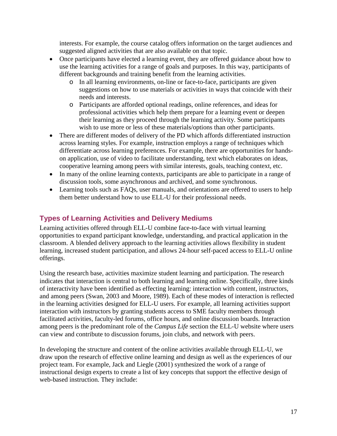interests. For example, the course catalog offers information on the target audiences and suggested aligned activities that are also available on that topic.

- Once participants have elected a learning event, they are offered guidance about how to use the learning activities for a range of goals and purposes. In this way, participants of different backgrounds and training benefit from the learning activities.
	- o In all learning environments, on-line or face-to-face, participants are given suggestions on how to use materials or activities in ways that coincide with their needs and interests.
	- o Participants are afforded optional readings, online references, and ideas for professional activities which help them prepare for a learning event or deepen their learning as they proceed through the learning activity. Some participants wish to use more or less of these materials/options than other participants.
- There are different modes of delivery of the PD which affords differentiated instruction across learning styles. For example, instruction employs a range of techniques which differentiate across learning preferences. For example, there are opportunities for handson application, use of video to facilitate understanding, text which elaborates on ideas, cooperative learning among peers with similar interests, goals, teaching context, etc.
- In many of the online learning contexts, participants are able to participate in a range of discussion tools, some asynchronous and archived, and some synchronous.
- Learning tools such as FAQs, user manuals, and orientations are offered to users to help them better understand how to use ELL-U for their professional needs.

### <span id="page-20-0"></span>**Types of Learning Activities and Delivery Mediums**

Learning activities offered through ELL-U combine face-to-face with virtual learning opportunities to expand participant knowledge, understanding, and practical application in the classroom. A blended delivery approach to the learning activities allows flexibility in student learning, increased student participation, and allows 24-hour self-paced access to ELL-U online offerings.

Using the research base, activities maximize student learning and participation. The research indicates that interaction is central to both learning and learning online. Specifically, three kinds of interactivity have been identified as effecting learning: interaction with content, instructors, and among peers (Swan, 2003 and Moore, 1989). Each of these modes of interaction is reflected in the learning activities designed for ELL-U users. For example, all learning activities support interaction with instructors by granting students access to SME faculty members through facilitated activities, faculty-led forums, office hours, and online discussion boards. Interaction among peers is the predominant role of the *Campus Life* section the ELL-U website where users can view and contribute to discussion forums, join clubs, and network with peers.

In developing the structure and content of the online activities available through ELL-U, we draw upon the research of effective online learning and design as well as the experiences of our project team. For example, Jack and Liegle (2001) synthesized the work of a range of instructional design experts to create a list of key concepts that support the effective design of web-based instruction. They include: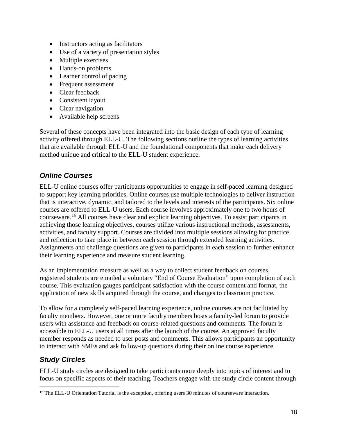- Instructors acting as facilitators
- Use of a variety of presentation styles
- Multiple exercises
- Hands-on problems
- Learner control of pacing
- Frequent assessment
- Clear feedback
- Consistent layout
- Clear navigation
- Available help screens

Several of these concepts have been integrated into the basic design of each type of learning activity offered through ELL-U. The following sections outline the types of learning activities that are available through ELL-U and the foundational components that make each delivery method unique and critical to the ELL-U student experience.

### *Online Courses*

ELL-U online courses offer participants opportunities to engage in self-paced learning designed to support key learning priorities. Online courses use multiple technologies to deliver instruction that is interactive, dynamic, and tailored to the levels and interests of the participants. Six online courses are offered to ELL-U users. Each course involves approximately one to two hours of courseware. [16](#page-21-0) All courses have clear and explicit learning objectives. To assist participants in achieving those learning objectives, courses utilize various instructional methods, assessments, activities, and faculty support. Courses are divided into multiple sessions allowing for practice and reflection to take place in between each session through extended learning activities. Assignments and challenge questions are given to participants in each session to further enhance their learning experience and measure student learning.

As an implementation measure as well as a way to collect student feedback on courses, registered students are emailed a voluntary "End of Course Evaluation" upon completion of each course. This evaluation gauges participant satisfaction with the course content and format, the application of new skills acquired through the course, and changes to classroom practice.

To allow for a completely self-paced learning experience, online courses are not facilitated by faculty members. However, one or more faculty members hosts a faculty-led forum to provide users with assistance and feedback on course-related questions and comments. The forum is accessible to ELL-U users at all times after the launch of the course. An approved faculty member responds as needed to user posts and comments. This allows participants an opportunity to interact with SMEs and ask follow-up questions during their online course experience.

### *Study Circles*

 $\overline{a}$ 

ELL-U study circles are designed to take participants more deeply into topics of interest and to focus on specific aspects of their teaching. Teachers engage with the study circle content through

<span id="page-21-0"></span><sup>&</sup>lt;sup>16</sup> The ELL-U Orientation Tutorial is the exception, offering users 30 minutes of courseware interaction.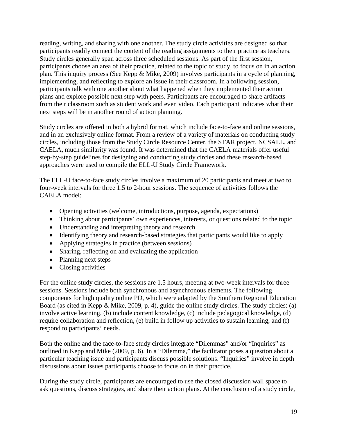reading, writing, and sharing with one another. The study circle activities are designed so that participants readily connect the content of the reading assignments to their practice as teachers. Study circles generally span across three scheduled sessions. As part of the first session, participants choose an area of their practice, related to the topic of study, to focus on in an action plan. This inquiry process (See Kepp & Mike, 2009) involves participants in a cycle of planning, implementing, and reflecting to explore an issue in their classroom. In a following session, participants talk with one another about what happened when they implemented their action plans and explore possible next step with peers. Participants are encouraged to share artifacts from their classroom such as student work and even video. Each participant indicates what their next steps will be in another round of action planning.

Study circles are offered in both a hybrid format, which include face-to-face and online sessions, and in an exclusively online format. From a review of a variety of materials on conducting study circles, including those from the Study Circle Resource Center, the STAR project, NCSALL, and CAELA, much similarity was found. It was determined that the CAELA materials offer useful step-by-step guidelines for designing and conducting study circles and these research-based approaches were used to compile the ELL-U Study Circle Framework.

The ELL-U face-to-face study circles involve a maximum of 20 participants and meet at two to four-week intervals for three 1.5 to 2-hour sessions. The sequence of activities follows the CAELA model:

- Opening activities (welcome, introductions, purpose, agenda, expectations)
- Thinking about participants' own experiences, interests, or questions related to the topic
- Understanding and interpreting theory and research
- Identifying theory and research-based strategies that participants would like to apply
- Applying strategies in practice (between sessions)
- Sharing, reflecting on and evaluating the application
- Planning next steps
- Closing activities

For the online study circles, the sessions are 1.5 hours, meeting at two-week intervals for three sessions. Sessions include both synchronous and asynchronous elements. The following components for high quality online PD, which were adapted by the Southern Regional Education Board (as cited in Kepp & Mike, 2009, p. 4), guide the online study circles. The study circles: (a) involve active learning, (b) include content knowledge, (c) include pedagogical knowledge, (d) require collaboration and reflection, (e) build in follow up activities to sustain learning, and (f) respond to participants' needs.

Both the online and the face-to-face study circles integrate "Dilemmas" and/or "Inquiries" as outlined in Kepp and Mike (2009, p. 6). In a "Dilemma," the facilitator poses a question about a particular teaching issue and participants discuss possible solutions. "Inquiries" involve in depth discussions about issues participants choose to focus on in their practice.

During the study circle, participants are encouraged to use the closed discussion wall space to ask questions, discuss strategies, and share their action plans. At the conclusion of a study circle,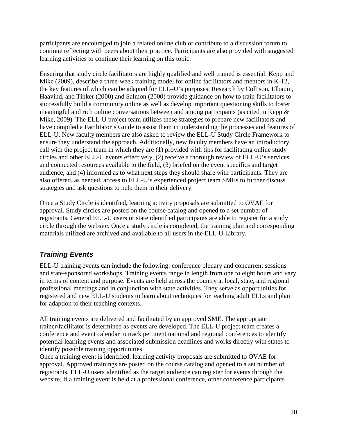participants are encouraged to join a related online club or contribute to a discussion forum to continue reflecting with peers about their practice. Participants are also provided with suggested learning activities to continue their learning on this topic.

Ensuring that study circle facilitators are highly qualified and well trained is essential. Kepp and Mike (2009), describe a three-week training model for online facilitators and mentors in K-12, the key features of which can be adapted for ELL–U's purposes. Research by Collison, Elbaum, Haavind, and Tinker (2000) and Salmon (2000) provide guidance on how to train facilitators to successfully build a community online as well as develop important questioning skills to foster meaningful and rich online conversations between and among participants (as cited in Kepp & Mike, 2009). The ELL-U project team utilizes these strategies to prepare new facilitators and have compiled a Facilitator's Guide to assist them in understanding the processes and features of ELL-U. New faculty members are also asked to review the ELL-U Study Circle Framework to ensure they understand the approach. Additionally, new faculty members have an introductory call with the project team in which they are (1) provided with tips for facilitating online study circles and other ELL-U events effectively, (2) receive a thorough review of ELL-U's services and connected resources available to the field, (3) briefed on the event specifics and target audience, and (4) informed as to what next steps they should share with participants. They are also offered, as needed, access to ELL-U's experienced project team SMEs to further discuss strategies and ask questions to help them in their delivery.

Once a Study Circle is identified, learning activity proposals are submitted to OVAE for approval. Study circles are posted on the course catalog and opened to a set number of registrants. General ELL-U users or state identified participants are able to register for a study circle through the website. Once a study circle is completed, the training plan and corresponding materials utilized are archived and available to all users in the ELL-U Library.

# *Training Events*

ELL-U training events can include the following: conference plenary and concurrent sessions and state-sponsored workshops. Training events range in length from one to eight hours and vary in terms of content and purpose. Events are held across the country at local, state, and regional professional meetings and in conjunction with state activities. They serve as opportunities for registered and new ELL-U students to learn about techniques for teaching adult ELLs and plan for adaption to their teaching contexts.

All training events are delivered and facilitated by an approved SME. The appropriate trainer/facilitator is determined as events are developed. The ELL-U project team creates a conference and event calendar to track pertinent national and regional conferences to identify potential learning events and associated submission deadlines and works directly with states to identify possible training opportunities.

Once a training event is identified, learning activity proposals are submitted to OVAE for approval. Approved trainings are posted on the course catalog and opened to a set number of registrants. ELL-U users identified as the target audience can register for events through the website. If a training event is held at a professional conference, other conference participants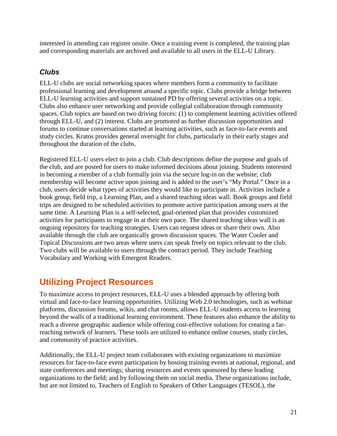interested in attending can register onsite. Once a training event is completed, the training plan and corresponding materials are archived and available to all users in the ELL-U Library.

# *Clubs*

ELL-U clubs are social networking spaces where members form a community to facilitate professional learning and development around a specific topic. Clubs provide a bridge between ELL-U learning activities and support sustained PD by offering several activities on a topic. Clubs also enhance user networking and provide collegial collaboration through community spaces. Club topics are based on two driving forces: (1) to complement learning activities offered through ELL-U, and (2) interest. Clubs are promoted as further discussion opportunities and forums to continue conversations started at learning activities, such as face-to-face events and study circles. Kratos provides general oversight for clubs, particularly in their early stages and throughout the duration of the clubs.

Registered ELL-U users elect to join a club. Club descriptions define the purpose and goals of the club, and are posted for users to make informed decisions about joining. Students interested in becoming a member of a club formally join via the secure log-in on the website; club membership will become active upon joining and is added to the user's "My Portal." Once in a club, users decide what types of activities they would like to participate in. Activities include a book group, field trip, a Learning Plan, and a shared teaching ideas wall. Book groups and field trips are designed to be scheduled activities to promote active participation among users at the same time. A Learning Plan is a self-selected, goal-oriented plan that provides customized activities for participants to engage in at their own pace. The shared teaching ideas wall is an ongoing repository for teaching strategies. Users can request ideas or share their own. Also available through the club are organically grown discussion spaces. The Water Cooler and Topical Discussions are two areas where users can speak freely on topics relevant to the club. Two clubs will be available to users through the contract period. They include Teaching Vocabulary and Working with Emergent Readers.

# <span id="page-24-0"></span>**Utilizing Project Resources**

To maximize access to project resources, ELL-U uses a blended approach by offering both virtual and face-to-face learning opportunities. Utilizing Web 2.0 technologies, such as webinar platforms, discussion forums, wikis, and chat rooms, allows ELL-U students access to learning beyond the walls of a traditional learning environment. These features also enhance the ability to reach a diverse geographic audience while offering cost-effective solutions for creating a farreaching network of learners. These tools are utilized to enhance online courses, study circles, and community of practice activities.

Additionally, the ELL-U project team collaborates with existing organizations to maximize resources for face-to-face event participation by hosting training events at national, regional, and state conferences and meetings; sharing resources and events sponsored by these leading organizations to the field; and by following them on social media. These organizations include, but are not limited to, Teachers of English to Speakers of Other Languages (TESOL), the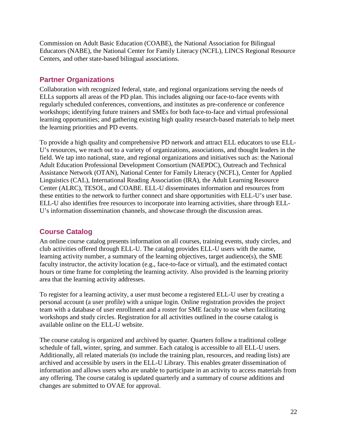Commission on Adult Basic Education (COABE), the National Association for Bilingual Educators (NABE), the National Center for Family Literacy (NCFL), LINCS Regional Resource Centers, and other state-based bilingual associations.

### <span id="page-25-0"></span>**Partner Organizations**

Collaboration with recognized federal, state, and regional organizations serving the needs of ELLs supports all areas of the PD plan. This includes aligning our face-to-face events with regularly scheduled conferences, conventions, and institutes as pre-conference or conference workshops; identifying future trainers and SMEs for both face-to-face and virtual professional learning opportunities; and gathering existing high quality research-based materials to help meet the learning priorities and PD events.

To provide a high quality and comprehensive PD network and attract ELL educators to use ELL-U's resources, we reach out to a variety of organizations, associations, and thought leaders in the field. We tap into national, state, and regional organizations and initiatives such as: the National Adult Education Professional Development Consortium (NAEPDC), Outreach and Technical Assistance Network (OTAN), National Center for Family Literacy (NCFL), Center for Applied Linguistics (CAL), International Reading Association (IRA), the Adult Learning Resource Center (ALRC), TESOL, and COABE. ELL-U disseminates information and resources from these entities to the network to further connect and share opportunities with ELL-U's user base. ELL-U also identifies free resources to incorporate into learning activities, share through ELL-U's information dissemination channels, and showcase through the discussion areas.

### <span id="page-25-1"></span>**Course Catalog**

An online course catalog presents information on all courses, training events, study circles, and club activities offered through ELL-U. The catalog provides ELL-U users with the name, learning activity number, a summary of the learning objectives, target audience(s), the SME faculty instructor, the activity location (e.g., face-to-face or virtual), and the estimated contact hours or time frame for completing the learning activity. Also provided is the learning priority area that the learning activity addresses.

To register for a learning activity, a user must become a registered ELL-U user by creating a personal account (a user profile) with a unique login. Online registration provides the project team with a database of user enrollment and a roster for SME faculty to use when facilitating workshops and study circles. Registration for all activities outlined in the course catalog is available online on the ELL-U website.

The course catalog is organized and archived by quarter. Quarters follow a traditional college schedule of fall, winter, spring, and summer. Each catalog is accessible to all ELL-U users. Additionally, all related materials (to include the training plan, resources, and reading lists) are archived and accessible by users in the ELL-U Library. This enables greater dissemination of information and allows users who are unable to participate in an activity to access materials from any offering. The course catalog is updated quarterly and a summary of course additions and changes are submitted to OVAE for approval.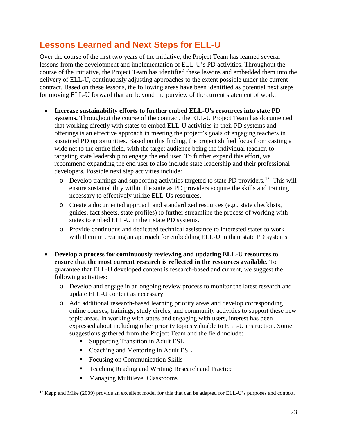# <span id="page-26-0"></span>**Lessons Learned and Next Steps for ELL-U**

Over the course of the first two years of the initiative, the Project Team has learned several lessons from the development and implementation of ELL-U's PD activities. Throughout the course of the initiative, the Project Team has identified these lessons and embedded them into the delivery of ELL-U, continuously adjusting approaches to the extent possible under the current contract. Based on these lessons, the following areas have been identified as potential next steps for moving ELL-U forward that are beyond the purview of the current statement of work.

- **Increase sustainability efforts to further embed ELL-U's resources into state PD systems.** Throughout the course of the contract, the ELL-U Project Team has documented that working directly with states to embed ELL-U activities in their PD systems and offerings is an effective approach in meeting the project's goals of engaging teachers in sustained PD opportunities. Based on this finding, the project shifted focus from casting a wide net to the entire field, with the target audience being the individual teacher, to targeting state leadership to engage the end user. To further expand this effort, we recommend expanding the end user to also include state leadership and their professional developers. Possible next step activities include:
	- $\circ$  Develop trainings and supporting activities targeted to state PD providers.<sup>17</sup> This will ensure sustainability within the state as PD providers acquire the skills and training necessary to effectively utilize ELL-Us resources.
	- o Create a documented approach and standardized resources (e.g., state checklists, guides, fact sheets, state profiles) to further streamline the process of working with states to embed ELL-U in their state PD systems.
	- o Provide continuous and dedicated technical assistance to interested states to work with them in creating an approach for embedding ELL-U in their state PD systems.
- **Develop a process for continuously reviewing and updating ELL-U resources to ensure that the most current research is reflected in the resources available.** To guarantee that ELL-U developed content is research-based and current, we suggest the following activities:
	- o Develop and engage in an ongoing review process to monitor the latest research and update ELL-U content as necessary.
	- o Add additional research-based learning priority areas and develop corresponding online courses, trainings, study circles, and community activities to support these new topic areas. In working with states and engaging with users, interest has been expressed about including other priority topics valuable to ELL-U instruction. Some suggestions gathered from the Project Team and the field include:
		- Supporting Transition in Adult ESL
		- Coaching and Mentoring in Adult ESL
		- Focusing on Communication Skills
		- Teaching Reading and Writing: Research and Practice
		- **Managing Multilevel Classrooms**

 $\overline{a}$ 

<span id="page-26-1"></span><sup>&</sup>lt;sup>17</sup> Kepp and Mike (2009) provide an excellent model for this that can be adapted for ELL-U's purposes and context.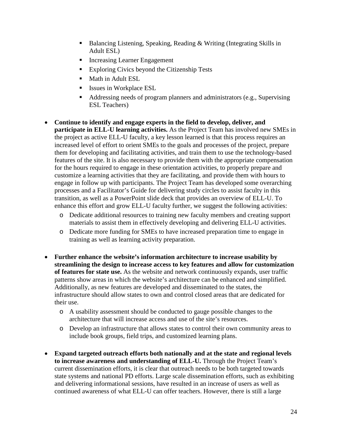- Balancing Listening, Speaking, Reading & Writing (Integrating Skills in Adult ESL)
- **Increasing Learner Engagement**
- **Exploring Civics beyond the Citizenship Tests**
- **Math in Adult ESL**
- Issues in Workplace ESL
- Addressing needs of program planners and administrators (e.g., Supervising ESL Teachers)
- **Continue to identify and engage experts in the field to develop, deliver, and participate in ELL-U learning activities.** As the Project Team has involved new SMEs in the project as active ELL-U faculty, a key lesson learned is that this process requires an increased level of effort to orient SMEs to the goals and processes of the project, prepare them for developing and facilitating activities, and train them to use the technology-based features of the site. It is also necessary to provide them with the appropriate compensation for the hours required to engage in these orientation activities, to properly prepare and customize a learning activities that they are facilitating, and provide them with hours to engage in follow up with participants. The Project Team has developed some overarching processes and a Facilitator's Guide for delivering study circles to assist faculty in this transition, as well as a PowerPoint slide deck that provides an overview of ELL-U. To enhance this effort and grow ELL-U faculty further, we suggest the following activities:
	- o Dedicate additional resources to training new faculty members and creating support materials to assist them in effectively developing and delivering ELL-U activities.
	- o Dedicate more funding for SMEs to have increased preparation time to engage in training as well as learning activity preparation.
- **Further enhance the website's information architecture to increase usability by streamlining the design to increase access to key features and allow for customization of features for state use.** As the website and network continuously expands, user traffic patterns show areas in which the website's architecture can be enhanced and simplified. Additionally, as new features are developed and disseminated to the states, the infrastructure should allow states to own and control closed areas that are dedicated for their use.
	- o A usability assessment should be conducted to gauge possible changes to the architecture that will increase access and use of the site's resources.
	- o Develop an infrastructure that allows states to control their own community areas to include book groups, field trips, and customized learning plans.
- **Expand targeted outreach efforts both nationally and at the state and regional levels to increase awareness and understanding of ELL-U.** Through the Project Team's current dissemination efforts, it is clear that outreach needs to be both targeted towards state systems and national PD efforts. Large scale dissemination efforts, such as exhibiting and delivering informational sessions, have resulted in an increase of users as well as continued awareness of what ELL-U can offer teachers. However, there is still a large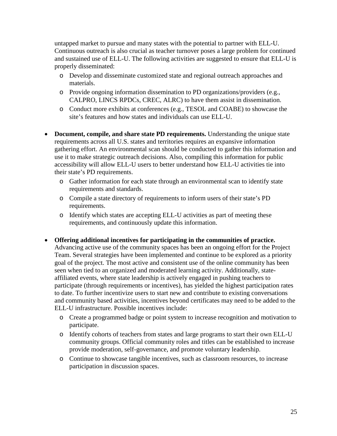untapped market to pursue and many states with the potential to partner with ELL-U. Continuous outreach is also crucial as teacher turnover poses a large problem for continued and sustained use of ELL-U. The following activities are suggested to ensure that ELL-U is properly disseminated:

- o Develop and disseminate customized state and regional outreach approaches and materials.
- o Provide ongoing information dissemination to PD organizations/providers (e.g., CALPRO, LINCS RPDCs, CREC, ALRC) to have them assist in dissemination.
- o Conduct more exhibits at conferences (e.g., TESOL and COABE) to showcase the site's features and how states and individuals can use ELL-U.
- **Document, compile, and share state PD requirements.** Understanding the unique state requirements across all U.S. states and territories requires an expansive information gathering effort. An environmental scan should be conducted to gather this information and use it to make strategic outreach decisions. Also, compiling this information for public accessibility will allow ELL-U users to better understand how ELL-U activities tie into their state's PD requirements.
	- o Gather information for each state through an environmental scan to identify state requirements and standards.
	- o Compile a state directory of requirements to inform users of their state's PD requirements.
	- o Identify which states are accepting ELL-U activities as part of meeting these requirements, and continuously update this information.
- **Offering additional incentives for participating in the communities of practice.** Advancing active use of the community spaces has been an ongoing effort for the Project Team. Several strategies have been implemented and continue to be explored as a priority goal of the project. The most active and consistent use of the online community has been seen when tied to an organized and moderated learning activity. Additionally, stateaffiliated events, where state leadership is actively engaged in pushing teachers to participate (through requirements or incentives), has yielded the highest participation rates to date. To further incentivize users to start new and contribute to existing conversations and community based activities, incentives beyond certificates may need to be added to the ELL-U infrastructure. Possible incentives include:
	- o Create a programmed badge or point system to increase recognition and motivation to participate.
	- o Identify cohorts of teachers from states and large programs to start their own ELL-U community groups. Official community roles and titles can be established to increase provide moderation, self-governance, and promote voluntary leadership.
	- o Continue to showcase tangible incentives, such as classroom resources, to increase participation in discussion spaces.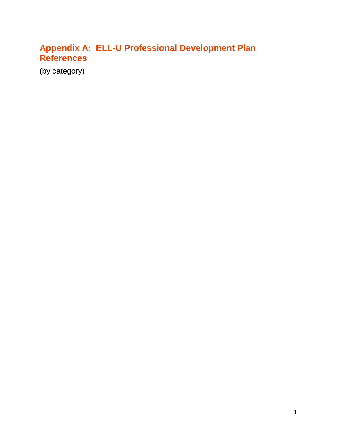# <span id="page-29-0"></span>**Appendix A: ELL-U Professional Development Plan References**

(by category)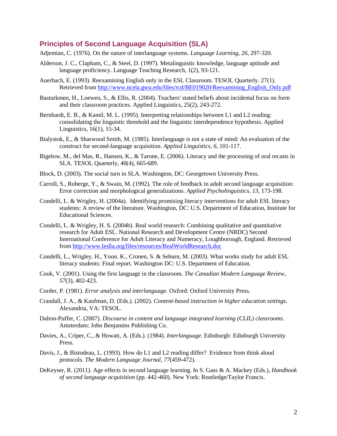#### <span id="page-30-0"></span>**Principles of Second Language Acquisition (SLA)**

Adjemian, C. (1976). On the nature of interlanguage systems. *Language Learning, 26*, 297-320.

- Alderson, J. C., Clapham, C., & Steel, D. (1997). Metalinguistic knowledge, language aptitude and language proficiency. Language Teaching Research, 1(2), 93-121.
- Auerbach, E. (1993). Reexamining English only in the ESL Classroom. TESOL Quarterly. 27(1). Retrieved fro[m http://www.ncela.gwu.edu/files/rcd/BE019020/Reexamining\\_English\\_Only.pdf](http://www.ncela.gwu.edu/files/rcd/BE019020/Reexamining_English_Only.pdf)
- Basturkmen, H., Loewen, S., & Ellis, R. (2004). Teachers' stated beliefs about incidental focus on form and their classroom practices. Applied Linguistics, 25(2), 243-272.
- Bernhardt, E. B., & Kamil, M. L. (1995). Interpreting relationships between L1 and L2 reading: consolidating the linguistic threshold and the linguistic interdependence hypothesis. Applied Linguistics, 16(1), 15-34.
- Bialystok, E., & Sharwood Smith, M. (1985). Interlanguage is not a state of mind: An evaluation of the construct for second-language acquisition. *Applied Linguistics, 6*, 101-117.
- Bigelow, M., del Mas, R., Hansen, K., & Tarone, E. (2006). Literacy and the processing of oral recasts in SLA. TESOL Quarterly, 40(4), 665-689.
- Block, D. (2003). The social turn in SLA. Washington, DC: Georgetown University Press.
- Carroll, S., Roberge, Y., & Swain, M. (1992). The role of feedback in adult second language acquisition: Error correction and morphological generalizations. *Applied Psycholinguistics, 13*, 173-198.
- Condelli, L. & Wrigley, H. (2004a). Identifying promising literacy interventions for adult ESL literacy students: A review of the literature. Washington, DC: U.S. Department of Education, Institute for Educational Sciences.
- Condelli, L. & Wrigley, H. S. (2004b). Real world research: Combining qualitative and quantitative research for Adult ESL. National Research and Development Centre (NRDC) Second International Conference for Adult Literacy and Numeracy, Loughborough, England. Retrieved from<http://www.leslla.org/files/resources/RealWorldResearch.doc>
- Condelli, L., Wrigley. H., Yoon. K., Cronen, S. & Seburn, M. (2003). What works study for adult ESL literacy students: Final report. Washington DC: U.S. Department of Education.
- Cook, V. (2001). Using the first language in the classroom. *The Canadian Modern Language Review, 57*(3), 402-423.
- Corder, P. (1981). *Error analysis and interlanguage*. Oxford: Oxford University Press.
- Crandall, J. A., & Kaufman, D. (Eds.). (2002). *Content-based instruction in higher education settings*. Alexandria, VA: TESOL.
- Dalton-Puffer, C. (2007). *Discourse in content and language integrated learning (CLIL) classrooms*. Amsterdam: John Benjamins Publishing Co.
- Davies, A., Criper, C., & Howatt, A. (Eds.). (1984). *Interlanguage*. Edinburgh: Edinburgh University Press.
- Davis, J., & Bistodeau, L. (1993). How do L1 and L2 reading differ? Evidence from think aloud protocols. *The Modern Language Journal, 77*(459-472).
- DeKeyser, R. (2011). Age effects in second language learning. In S. Gass & A. Mackey (Eds.), *Handbook of second language acquisition* (pp. 442-460). New York: Routledge/Taylor Francis.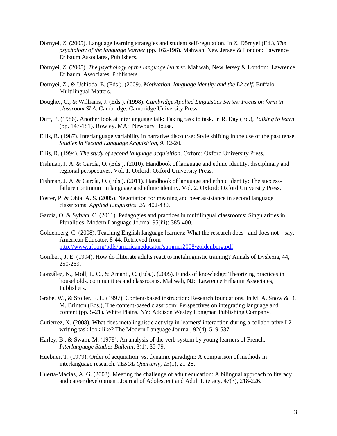- Dörnyei, Z. (2005). Language learning strategies and student self-regulation. In Z. Dörnyei (Ed.), *The psychology of the language learner* (pp. 162-196). Mahwah, New Jersey & London: Lawrence Erlbaum Associates, Publishers.
- Dörnyei, Z. (2005). *The psychology of the language learner*. Mahwah, New Jersey & London: Lawrence Erlbaum Associates, Publishers.
- Dörnyei, Z., & Ushioda, E. (Eds.). (2009). *Motivation, language identity and the L2 self*. Buffalo: Multilingual Matters.
- Doughty, C., & Williams, J. (Eds.). (1998). *Cambridge Applied Linguistics Series: Focus on form in classroom SLA*. Cambridge: Cambridge University Press.
- Duff, P. (1986). Another look at interlanguage talk: Taking task to task. In R. Day (Ed.), *Talking to learn*  (pp. 147-181). Rowley, MA: Newbury House.
- Ellis, R. (1987). Interlanguage variability in narrative discourse: Style shifting in the use of the past tense. *Studies in Second Language Acquisition, 9*, 12-20.
- Ellis, R. (1994). *The study of second language acquisition*. Oxford: Oxford University Press.
- Fishman, J. A. & García, O. (Eds.). (2010). [Handbook of language and ethnic identity. disciplinary and](http://www.amazon.com/Handbook-Language-Ethnic-Identity-Disciplinary/dp/0195374924/ref=sr_1_2?s=books&ie=UTF8&qid=1296239011&sr=1-2)  [regional perspectives. Vol. 1.](http://www.amazon.com/Handbook-Language-Ethnic-Identity-Disciplinary/dp/0195374924/ref=sr_1_2?s=books&ie=UTF8&qid=1296239011&sr=1-2) Oxford: Oxford University Press.
- Fishman, J. A. & García, O. (Eds.). (2011). Handbook of language and ethnic identity: The successfailure continuum in language and ethnic identity. Vol. 2. Oxford: Oxford University Press.
- Foster, P. & Ohta, A. S. (2005). Negotiation for meaning and peer assistance in second language classrooms. *Applied Linguistics, 26*, 402-430.
- García, O. & Sylvan, C. (2011). [Pedagogies and practices in multilingual classrooms: Singularities in](http://ofeliagarciadotorg.files.wordpress.com/2011/02/pedagogies-and-practices-in-multilingual-classrooms-singularities-in-pluralities.pdf)  [Pluralities.](http://ofeliagarciadotorg.files.wordpress.com/2011/02/pedagogies-and-practices-in-multilingual-classrooms-singularities-in-pluralities.pdf) Modern Language Journal 95(iii): 385-400.
- Goldenberg, C. (2008). Teaching English language learners: What the research does –and does not say, American Educator, 8-44. Retrieved from <http://www.aft.org/pdfs/americaneducator/summer2008/goldenberg.pdf>
- Gombert, J. E. (1994). How do illiterate adults react to metalinguistic training? Annals of Dyslexia, 44, 250-269.
- González, N., Moll, L. C., & Amanti, C. (Eds.). (2005). Funds of knowledge: Theorizing practices in households, communities and classrooms. Mahwah, NJ: Lawrence Erlbaum Associates, Publishers.
- Grabe, W., & Stoller, F. L. (1997). Content-based instruction: Research foundations. In M. A. Snow & D. M. Brinton (Eds.), The content-based classroom: Perspectives on integrating language and content (pp. 5-21). White Plains, NY: Addison Wesley Longman Publishing Company.
- Gutierrez, X. (2008). What does metalinguistic activity in learners' interaction during a collaborative L2 writing task look like? The Modern Language Journal, 92(4), 519-537.
- Harley, B., & Swain, M. (1978). An analysis of the verb system by young learners of French. *Interlanguage Studies Bulletin,* 3(1), 35-79.
- Huebner, T. (1979). Order of acquisition vs. dynamic paradigm: A comparison of methods in interlanguage research. *TESOL Quarterly, 13*(1), 21-28.
- Huerta-Macias, A. G. (2003). Meeting the challenge of adult education: A bilingual approach to literacy and career development. Journal of Adolescent and Adult Literacy, 47(3), 218-226.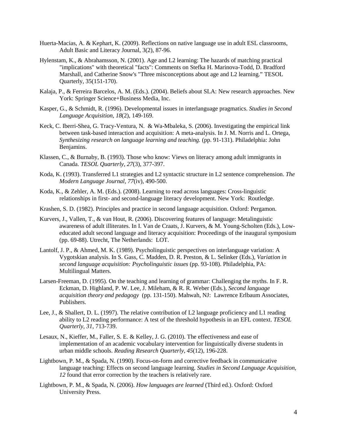- Huerta-Macias, A. & Kephart, K. (2009). Reflections on native language use in adult ESL classrooms, Adult Basic and Literacy Journal, 3(2), 87-96.
- Hylenstam, K., & Abrahamsson, N. (2001). Age and L2 learning: The hazards of matching practical "implications" with theoretical "facts": Comments on Stefka H. Marinova-Todd, D. Bradford Marshall, and Catherine Snow's "Three misconceptions about age and L2 learning." TESOL Quarterly, 35(151-170).
- Kalaja, P., & Ferreira Barcelos, A. M. (Eds.). (2004). Beliefs about SLA: New research approaches. New York: Springer Science+Business Media, Inc.
- Kasper, G., & Schmidt, R. (1996). Developmental issues in interlanguage pragmatics. *Studies in Second Language Acquisition, 18*(2), 149-169.
- Keck, C. Iberri-Shea, G. Tracy-Ventura, N. & Wa-Mbaleka, S. (2006). Investigating the empirical link between task-based interaction and acquisition: A meta-analysis. In J. M. Norris and L. Ortega, *Synthesizing research on language learning and teaching.* (pp. 91-131). Philadelphia: John Benjamins.
- Klassen, C., & Burnaby, B. (1993). Those who know: Views on literacy among adult immigrants in Canada. *TESOL Quarterly, 27*(3), 377-397.
- Koda, K. (1993). Transferred L1 strategies and L2 syntactic structure in L2 sentence comprehension. *The Modern Language Journal, 77*(iv), 490-500.
- Koda, K., & Zehler, A. M. (Eds.). (2008). Learning to read across languages: Cross-linguistic relationships in first- and second-language literacy development. New York: Routledge.
- Krashen, S. D. (1982). Principles and practice in second language acquisition. Oxford: Pergamon.
- Kurvers, J., Vallen, T., & van Hout, R. (2006). Discovering features of language: Metalinguistic awareness of adult illiterates. In I. Van de Craats, J. Kurvers, & M. Young-Scholten (Eds.), Loweducated adult second language and literacy acquisition: Proceedings of the inaugural symposium (pp. 69-88). Utrecht, The Netherlands: LOT.
- Lantolf, J. P., & Ahmed, M. K. (1989). Psycholinguistic perspectives on interlanguage variation: A Vygotskian analysis. In S. Gass, C. Madden, D. R. Preston, & L. Selinker (Eds.), *Variation in second language acquisition: Psycholinguistic issues* (pp. 93-108). Philadelphia, PA: Multilingual Matters.
- Larsen-Freeman, D. (1995). On the teaching and learning of grammar: Challenging the myths. In F. R. Eckman, D. Highland, P. W. Lee, J. Mileham, & R. R. Weber (Eds.), *Second language acquisition theory and pedagogy* (pp. 131-150). Mahwah, NJ: Lawrence Erlbaum Associates, Publishers.
- Lee, J., & Shallert, D. L. (1997). The relative contribution of L2 language proficiency and L1 reading ability to L2 reading performance: A test of the threshold hypothesis in an EFL context. *TESOL Quarterly, 31*, 713-739.
- Lesaux, N., Kieffer, M., Faller, S. E. & Kelley, J. G. (2010). The effectiveness and ease of implementation of an academic vocabulary intervention for linguistically diverse students in urban middle schools. *Reading Research Quarterly, 45*(12), 196-228.
- Lightbown, P. M., & Spada, N. (1990). Focus-on-form and corrective feedback in communicative language teaching: Effects on second language learning. *Studies in Second Language Acquisition, 12* found that error correction by the teachers is relatively rare.
- Lightbown, P. M., & Spada, N. (2006). *How languages are learned* (Third ed.). Oxford: Oxford University Press.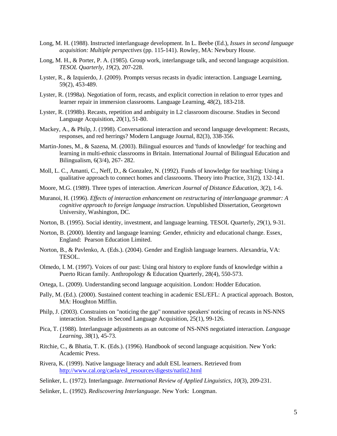- Long, M. H. (1988). Instructed interlanguage development. In L. Beebe (Ed.), *Issues in second language acquisition: Multiple perspectives* (pp. 115-141). Rowley, MA: Newbury House.
- Long, M. H., & Porter, P. A. (1985). Group work, interlanguage talk, and second language acquisition. *TESOL Quarterly, 19*(2), 207-228.
- Lyster, R., & Izquierdo, J. (2009). Prompts versus recasts in dyadic interaction. Language Learning, 59(2), 453-489.
- Lyster, R. (1998a). Negotiation of form, recasts, and explicit correction in relation to error types and learner repair in immersion classrooms. Language Learning, 48(2), 183-218.
- Lyster, R. (1998b). Recasts, repetition and ambiguity in L2 classroom discourse. Studies in Second Language Acquisition, 20(1), 51-80.
- Mackey, A., & Philp, J. (1998). Conversational interaction and second language development: Recasts, responses, and red herrings? Modern Language Journal, 82(3), 338-356.
- Martin-Jones, M., & Sazena, M. (2003). Bilingual esources and 'funds of knowledge' for teaching and learning in multi-ethnic classrooms in Britain. International Journal of Bilingual Education and Bilingualism, 6(3/4), 267- 282.
- Moll, L. C., Amanti, C., Neff, D., & Gonzalez, N. (1992). Funds of knowledge for teaching: Using a qualitative approach to connect homes and classrooms. Theory into Practice, 31(2), 132-141.
- Moore, M.G. (1989). Three types of interaction. *American Journal of Distance Education, 3*(2), 1-6.
- Muranoi, H. (1996). *Effects of interaction enhancement on restructuring of interlanguage grammar: A cognitive approach to foreign language instruction.* Unpublished Dissertation, Georgetown University, Washington, DC.
- Norton, B. (1995). Social identity, investment, and language learning. TESOL Quarterly, 29(1), 9-31.
- Norton, B. (2000). Identity and language learning: Gender, ethnicity and educational change. Essex, England: Pearson Education Limited.
- Norton, B., & Pavlenko, A. (Eds.). (2004). Gender and English language learners. Alexandria, VA: TESOL.
- Olmedo, I. M. (1997). Voices of our past: Using oral history to explore funds of knowledge within a Puerto Rican family. Anthropology & Education Quarterly, 28(4), 550-573.
- Ortega, L. (2009). Understanding second language acquisition. London: Hodder Education.
- Pally, M. (Ed.). (2000). Sustained content teaching in academic ESL/EFL: A practical approach. Boston, MA: Houghton Mifflin.
- Philp, J. (2003). Constraints on "noticing the gap" nonnative speakers' noticing of recasts in NS-NNS interaction. Studies in Second Language Acquisition, 25(1), 99-126.
- Pica, T. (1988). Interlanguage adjustments as an outcome of NS-NNS negotiated interaction. *Language Learning, 38*(1), 45-73.
- Ritchie, C., & Bhatia, T. K. (Eds.). (1996). Handbook of second language acquisition. New York: Academic Press.
- Rivera, K. (1999). Native language literacy and adult ESL learners. Retrieved from [http://www.cal.org/caela/esl\\_resources/digests/natlit2.html](http://www.cal.org/caela/esl_resources/digests/natlit2.html)
- Selinker, L. (1972). Interlanguage. *International Review of Applied Linguistics, 10*(3), 209-231.
- Selinker, L. (1992). *Rediscovering Interlanguage*. New York: Longman.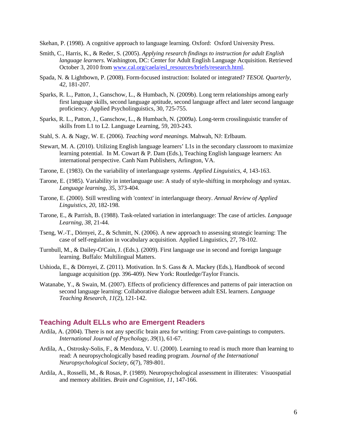Skehan, P. (1998). A cognitive approach to language learning. Oxford: Oxford University Press.

- Smith, C., Harris, K., & Reder, S. (2005). *Applying research findings to instruction for adult English language learners.* Washington, DC: Center for Adult English Language Acquisition. Retrieved October 3, 2010 from [www.cal.org/caela/esl\\_resources/briefs/research.html.](http://www.cal.org/caela/esl_resources/briefs/research.html)
- Spada, N. & Lightbown, P. (2008). Form-focused instruction: Isolated or integrated? *TESOL Quarterly, 42*, 181-207.
- Sparks, R. L., Patton, J., Ganschow, L., & Humbach, N. (2009b). Long term relationships among early first language skills, second language aptitude, second language affect and later second language proficiency. Applied Psycholinguistics, 30, 725-755.
- Sparks, R. L., Patton, J., Ganschow, L., & Humbach, N. (2009a). Long-term crosslinguistic transfer of skills from L1 to L2. Language Learning, 59, 203-243.
- Stahl, S. A. & Nagy, W. E. (2006). *Teaching word meanings.* Mahwah, NJ: Erlbaum.
- Stewart, M. A. (2010). Utilizing English language learners' L1s in the secondary classroom to maximize learning potential. In M. Cowart & P. Dam (Eds.), Teaching English language learners: An international perspective. Canh Nam Publishers, Arlington, VA.
- Tarone, E. (1983). On the variability of interlanguage systems. *Applied Linguistics, 4*, 143-163.
- Tarone, E. (1985). Variability in interlanguage use: A study of style-shifting in morphology and syntax. *Language learning, 35*, 373-404.
- Tarone, E. (2000). Still wrestling with 'context' in interlanguage theory. *Annual Review of Applied Linguistics, 20*, 182-198.
- Tarone, E., & Parrish, B. (1988). Task-related variation in interlanguage: The case of articles. *Language Learning, 38*, 21-44.
- Tseng, W.-T., Dörnyei, Z., & Schmitt, N. (2006). A new approach to assessing strategic learning: The case of self-regulation in vocabulary acquisition. Applied Linguistics, 27, 78-102.
- Turnbull, M., & Dailey-O'Cain, J. (Eds.). (2009). First language use in second and foreign language learning. Buffalo: Multilingual Matters.
- Ushioda, E., & Dörnyei, Z. (2011). Motivation. In S. Gass & A. Mackey (Eds.), Handbook of second language acquisition (pp. 396-409). New York: Routledge/Taylor Francis.
- Watanabe, Y., & Swain, M. (2007). Effects of proficiency differences and patterns of pair interaction on second language learning: Collaborative dialogue between adult ESL learners. *Language Teaching Research, 11*(2), 121-142.

#### <span id="page-34-0"></span>**Teaching Adult ELLs who are Emergent Readers**

- Ardila, A. (2004). There is not any specific brain area for writing: From cave-paintings to computers. *International Journal of Psychology, 39*(1), 61-67.
- Ardila, A., Ostrosky-Solis, F., & Mendoza, V. U. (2000). Learning to read is much more than learning to read: A neuropsychologically based reading program. *Journal of the International Neuropsychological Society, 6*(7), 789-801.
- Ardila, A., Rosselli, M., & Rosas, P. (1989). Neuropsychological assessment in illiterates: Visuospatial and memory abilities. *Brain and Cognition, 11*, 147-166.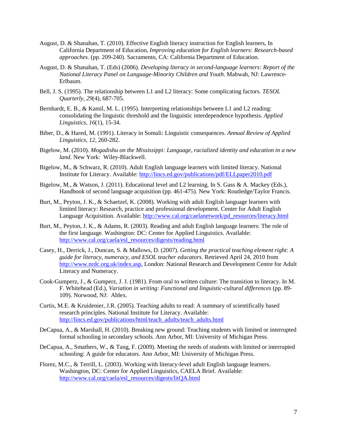- August, D. & Shanahan, T. (2010). Effective English literacy instruction for English learners, In California Department of Education, *Improving education for English learners: Research-based approaches*. (pp. 209-240). Sacramento, CA: California Department of Education.
- August, D. & Shanahan, T. (Eds) (2006). *Developing literacy in second-language learners: Report of the National Literacy Panel on Language-Minority Children and Youth*. Mahwah, NJ: Lawrence-Erlbaum.
- Bell, J. S. (1995). The relationship between L1 and L2 literacy: Some complicating factors. *TESOL Quarterly, 29*(4), 687-705.
- Bernhardt, E. B., & Kamil, M. L. (1995). Interpreting relationships between L1 and L2 reading: consolidating the linguistic threshold and the linguistic interdependence hypothesis. *Applied Linguistics, 16*(1), 15-34.
- Biber, D., & Hared, M. (1991). Literacy in Somali: Linguistic consequences. *Annual Review of Applied Linguistics, 12*, 260-282.
- Bigelow, M. (2010). *Mogadishu on the Mississippi: Language, racialized identity and education in a new land*. New York: Wiley-Blackwell.
- Bigelow, M., & Schwarz, R. (2010). Adult English language learners with limited literacy. National Institute for Literacy. Available: <http://lincs.ed.gov/publications/pdf/ELLpaper2010.pdf>
- Bigelow, M., & Watson, J. (2011). Educational level and L2 learning. In S. Gass & A. Mackey (Eds.), Handbook of second language acquisition (pp. 461-475). New York: Routledge/Taylor Francis.
- Burt, M., Peyton, J. K., & Schaetzel, K. (2008). Working with adult English language learners with limited literacy: Research, practice and professional development. Center for Adult English Language Acquisition. Available: [http://www.cal.org/caelanetwork/pd\\_resources/literacy.html](http://www.cal.org/caelanetwork/pd_resources/literacy.html)
- Burt, M., Peyton, J. K., & Adams, R. (2003). Reading and adult English language learners: The role of the first language. Washington: DC: Center for Applied Linguistics. Available: [http://www.cal.org/caela/esl\\_resources/digests/reading.html](http://www.cal.org/caela/esl_resources/digests/reading.html)
- Casey, H., Derrick, J., Duncan, S. & Mallows, D. (2007). *Getting the practical teaching element right: A guide for literacy, numeracy, and ESOL teacher educators*. Retrieved April 24, 2010 from [http://www.nrdc.org.uk/index.asp,](http://www.nrdc.org.uk/index.asp) London: National Research and Development Centre for Adult Literacy and Numeracy.
- Cook-Gumperz, J., & Gumperz, J. J. (1981). From oral to written culture: The transition to literacy. In M. F. Whitehead (Ed.), *Variation in writing: Functional and linguistic-cultural differences* (pp. 89- 109). Norwood, NJ: Ablex.
- Curtis, M.E. & Kruidenier, J.R. (2005). Teaching adults to read: A summary of scientifically based research principles. National Institute for Literacy. Available: [http://lincs.ed.gov/publications/html/teach\\_adults/teach\\_adults.html](http://lincs.ed.gov/publications/html/teach_adults/teach_adults.html)
- DeCapua, A., & Marshall, H. (2010). Breaking new ground: Teaching students with limited or interrupted formal schooling in secondary schools. Ann Arbor, MI: University of Michigan Press.
- DeCapua, A., Smathers, W., & Tang, F. (2009). Meeting the needs of students with limited or interrupted schooling: A guide for educators. Ann Arbor, MI: University of Michigan Press.
- Florez, M.C., & Terrill, L. (2003). Working with literacy-level adult English language learners. Washington, DC: Center for Applied Linguistics, CAELA Brief. Available: [http://www.cal.org/caela/esl\\_resources/digests/litQA.html](http://www.cal.org/caela/esl_resources/digests/litQA.html)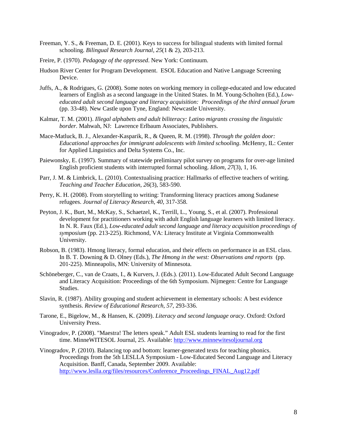- Freeman, Y. S., & Freeman, D. E. (2001). Keys to success for bilingual students with limited formal schooling. *Bilingual Research Journal, 25*(1 & 2), 203-213.
- Freire, P. (1970). *Pedagogy of the oppressed*. New York: Continuum.
- Hudson River Center for Program Development. ESOL Education and Native Language Screening Device.
- Juffs, A., & Rodrigues, G. (2008). Some notes on working memory in college-educated and low educated learners of English as a second language in the United States. In M. Young-Scholten (Ed.), *Loweducated adult second language and literacy acquisition: Proceedings of the third annual forum*  (pp. 33-48). New Castle upon Tyne, England: Newcastle University.
- Kalmar, T. M. (2001). *Illegal alphabets and adult biliteracy: Latino migrants crossing the linguistic border*. Mahwah, NJ: Lawrence Erlbaum Associates, Publishers.
- Mace-Matluck, B. J., Alexander-Kasparik, R., & Queen, R. M. (1998). *Through the golden door: Educational approaches for immigrant adolescents with limited schooling*. McHenry, IL: Center for Applied Linguistics and Delta Systems Co., Inc.
- Paiewonsky, E. (1997). Summary of statewide preliminary pilot survey on programs for over-age limited English proficient students with interrupted formal schooling. *Idiom, 27*(3), 1, 16.
- Parr, J. M. & Limbrick, L. (2010). Contextualising practice: Hallmarks of effective teachers of writing. *Teaching and Teacher Education*, *26*(3), 583-590.
- Perry, K. H. (2008). From storytelling to writing: Transforming literacy practices among Sudanese refugees. *Journal of Literacy Research, 40*, 317-358.
- Peyton, J. K., Burt, M., McKay, S., Schaetzel, K., Terrill, L., Young, S., et al. (2007). Professional development for practitioners working with adult English language learners with limited literacy. In N. R. Faux (Ed.), *Low-educated adult second language and literacy acquisition proceedings of symposium* (pp. 213-225). Richmond, VA: Literacy Institute at Virginia Commonwealth University.
- Robson, B. (1983). Hmong literacy, formal education, and their effects on performance in an ESL class. In B. T. Downing & D. Olney (Eds.), *The Hmong in the west: Observations and reports* (pp. 201-225). Minneapolis, MN: University of Minnesota.
- Schöneberger, C., van de Craats, I., & Kurvers, J. (Eds.). (2011). Low-Educated Adult Second Language and Literacy Acquisition: Proceedings of the 6th Symposium. Nijmegen: Centre for Language Studies.
- Slavin, R. (1987). Ability grouping and student achievement in elementary schools: A best evidence synthesis. *Review of Educational Research, 57*, 293-336.
- Tarone, E., Bigelow, M., & Hansen, K. (2009). *Literacy and second language oracy*. Oxford: Oxford University Press.
- Vinogradov, P. (2008). "Maestra! The letters speak." Adult ESL students learning to read for the first time. MinneWITESOL Journal, 25. Available[: http://www.minnewitesoljournal.org](http://www.minnewitesoljournal.org/)
- Vinogradov, P. (2010). Balancing top and bottom: learner-generated texts for teaching phonics. Proceedings from the 5th LESLLA Symposium - Low-Educated Second Language and Literacy Acquisition. Banff, Canada, September 2009. Available: [http://www.leslla.org/files/resources/Conference\\_Proceedings\\_FINAL\\_Aug12.pdf](http://www.leslla.org/files/resources/Conference_Proceedings_FINAL_Aug12.pdf)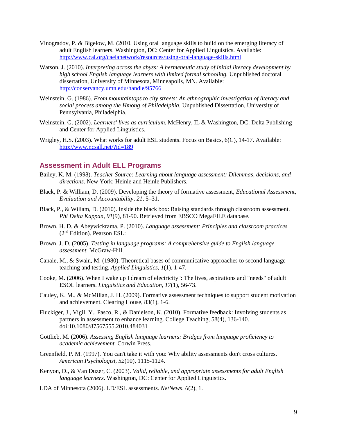- Vinogradov, P. & Bigelow, M. (2010. Using oral language skills to build on the emerging literacy of adult English learners. Washington, DC: Center for Applied Linguistics. Available: <http://www.cal.org/caelanetwork/resources/using-oral-language-skills.html>
- Watson, J. (2010). *Interpreting across the abyss: A hermeneutic study of initial literacy development by high school English language learners with limited formal schooling.* Unpublished doctoral dissertation, University of Minnesota, Minneapolis, MN. Available: <http://conservancy.umn.edu/handle/95766>
- Weinstein, G. (1986). *From mountaintops to city streets: An ethnographic investigation of literacy and social process among the Hmong of Philadelphia.* Unpublished Dissertation, University of Pennsylvania, Philadelphia.
- Weinstein, G. (2002). *Learners' lives as curriculum.* McHenry, IL & Washington, DC: Delta Publishing and Center for Applied Linguistics.
- Wrigley, H.S. (2003). What works for adult ESL students. Focus on Basics, 6(C), 14-17. Available: <http://www.ncsall.net/?id=189>

#### <span id="page-37-0"></span>**Assessment in Adult ELL Programs**

- Bailey, K. M. (1998). *Teacher Source: Learning about language assessment: Dilemmas, decisions, and directions*. New York: Heinle and Heinle Publishers.
- Black, P. & William, D. (2009). Developing the theory of formative assessment, *Educational Assessment, Evaluation and Accountability, 21,* 5–31.
- Black, P., & Wiliam, D. (2010). Inside the black box: Raising standards through classroom assessment. *Phi Delta Kappan*, *91*(9), 81-90. Retrieved from EBSCO MegaFILE database.
- Brown, H. D. & Abeywickrama, P. (2010). *Language assessment: Principles and classroom practices*  (2nd Edition). Pearson ESL:
- Brown, J. D. (2005). *Testing in language programs: A comprehensive guide to English language assessment.* McGraw-Hill.
- Canale, M., & Swain, M. (1980). Theoretical bases of communicative approaches to second language teaching and testing. *Applied Linguistics, 1*(1), 1-47.
- Cooke, M. (2006). When I wake up I dream of electricity": The lives, aspirations and "needs" of adult ESOL learners. *Linguistics and Education, 17*(1), 56-73.
- Cauley, K. M., & McMillan, J. H. (2009). Formative assessment techniques to support student motivation and achievement. Clearing House, 83(1), 1-6.
- Fluckiger, J., Vigil, Y., Pasco, R., & Danielson, K. (2010). Formative feedback: Involving students as partners in assessment to enhance learning. College Teaching, 58(4), 136-140. doi:10.1080/87567555.2010.484031
- Gottlieb, M. (2006). *Assessing English language learners: Bridges from language proficiency to academic achievement.* Corwin Press.
- Greenfield, P. M. (1997). You can't take it with you: Why ability assessments don't cross cultures. *American Psychologist, 52*(10), 1115-1124.
- Kenyon, D., & Van Duzer, C. (2003). *Valid, reliable, and appropriate assessments for adult English language learners*. Washington, DC: Center for Applied Linguistics.
- LDA of Minnesota (2006). LD/ESL assessments. *NetNews, 6*(2), 1.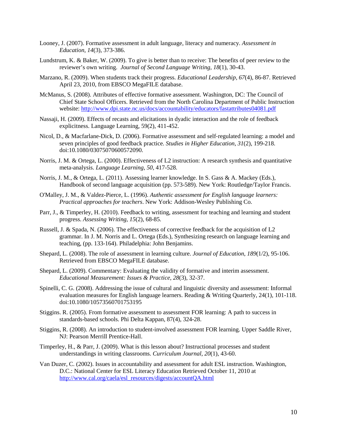- Looney, J. (2007). Formative assessment in adult language, literacy and numeracy. *Assessment in Education, 14*(3), 373-386.
- Lundstrum, K. & Baker, W. (2009). To give is better than to receive: The benefits of peer review to the reviewer's own writing. *Journal of Second Language Writing*, *18*(1), 30-43.
- Marzano, R. (2009). When students track their progress. *Educational Leadership, 67*(4), 86-87. Retrieved April 23, 2010, from EBSCO MegaFILE database.
- McManus, S. (2008). Attributes of effective formative assessment. Washington, DC: The Council of Chief State School Officers. Retrieved from the North Carolina Department of Public Instruction website:<http://www.dpi.state.nc.us/docs/accountability/educators/fastattributes04081.pdf>
- Nassaji, H. (2009). Effects of recasts and elicitations in dyadic interaction and the role of feedback explicitness. Language Learning, 59(2), 411-452.
- Nicol, D., & Macfarlane-Dick, D. (2006). Formative assessment and self‐regulated learning: a model and seven principles of good feedback practice. *Studies in Higher Education*, *31*(2), 199-218. doi:10.1080/03075070600572090.
- Norris, J. M. & Ortega, L. (2000). Effectiveness of L2 instruction: A research synthesis and quantitative meta-analysis. *Language Learning*, *50*, 417-528.
- Norris, J. M., & Ortega, L. (2011). Assessing learner knowledge. In S. Gass & A. Mackey (Eds.), Handbook of second language acquisition (pp. 573-589). New York: Routledge/Taylor Francis.
- O'Malley, J. M., & Valdez-Pierce, L. (1996). *Authentic assessment for English language learners: Practical approaches for teachers*. New York: Addison-Wesley Publishing Co.
- Parr, J., & Timperley, H. (2010). Feedback to writing, assessment for teaching and learning and student progress. *Assessing Writing*, *15*(2), 68-85.
- Russell, J. & Spada, N. (2006). The effectiveness of corrective feedback for the acquisition of L2 grammar. In J. M. Norris and L. Ortega (Eds.), Synthesizing research on language learning and teaching, (pp. 133-164). Philadelphia: John Benjamins.
- Shepard, L. (2008). The role of assessment in learning culture. *Journal of Education*, *189*(1/2), 95-106. Retrieved from EBSCO MegaFILE database.
- Shepard, L. (2009). Commentary: Evaluating the validity of formative and interim assessment. *Educational Measurement: Issues & Practice*, *28*(3), 32-37.
- Spinelli, C. G. (2008). Addressing the issue of cultural and linguistic diversity and assessment: Informal evaluation measures for English language learners. Reading  $&$  Writing Quarterly, 24(1), 101-118. doi:10.1080/10573560701753195
- Stiggins. R. (2005). From formative assessment to assessment FOR learning: A path to success in standards-based schools. Phi Delta Kappan, 87(4), 324-28.
- Stiggins, R. (2008). An introduction to student-involved assessment FOR learning. Upper Saddle River, NJ: Pearson Merrill Prentice-Hall.
- Timperley, H., & Parr, J. (2009). What is this lesson about? Instructional processes and student understandings in writing classrooms. *Curriculum Journal*, *20*(1), 43-60.
- Van Duzer, C. (2002). Issues in accountability and assessment for adult ESL instruction. Washington, D.C.: National Center for ESL Literacy Education Retrieved October 11, 2010 at [http://www.cal.org/caela/esl\\_resources/digests/accountQA.html](http://www.cal.org/caela/esl_resources/digests/accountQA.html)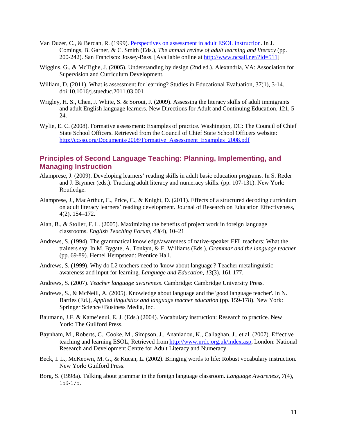- Van Duzer, C., & Berdan, R. (1999). [Perspectives on assessment in adult ESOL instruction.](http://gseweb.harvard.edu/%7Encsall/ann_rev/chap6.rev.htm) In J. Comings, B. Garner, & C. Smith (Eds.), *The annual review of adult learning and literacy* (pp. 200-242). San Francisco: Jossey-Bass. [Available online at [http://www.ncsall.net/?id=511\]](http://www.ncsall.net/?id=511)
- Wiggins, G., & McTighe, J. (2005). Understanding by design (2nd ed.). Alexandria, VA: Association for Supervision and Curriculum Development.
- William, D. (2011). What is assessment for learning? Studies in Educational Evaluation, 37(1), 3-14. doi:10.1016/j.stueduc.2011.03.001
- Wrigley, H. S., Chen, J. White, S. & Soroui, J. (2009). Assessing the literacy skills of adult immigrants and adult English language learners. New Directions for Adult and Continuing Education, 121, 5- 24.
- Wylie, E. C. (2008). Formative assessment: Examples of practice. Washington, DC: The Council of Chief State School Officers. Retrieved from the Council of Chief State School Officers website: [http://ccsso.org/Documents/2008/Formative\\_Assessment\\_Examples\\_2008.pdf](http://ccsso.org/Documents/2008/Formative_Assessment_Examples_2008.pdf)

### <span id="page-39-0"></span>**Principles of Second Language Teaching: Planning, Implementing, and Managing Instruction**

- Alamprese, J. (2009). Developing learners' reading skills in adult basic education programs. In S. Reder and J. Brynner (eds.). Tracking adult literacy and numeracy skills. (pp. 107-131). New York: Routledge.
- Alamprese, J., MacArthur, C., Price, C., & Knight, D. (2011). Effects of a structured decoding curriculum on adult literacy learners' reading development. Journal of Research on Education Effectiveness, 4(2), 154–172.
- Alan, B., & Stoller, F. L. (2005). Maximizing the benefits of project work in foreign language classrooms. *English Teaching Forum, 43*(4), 10–21
- Andrews, S. (1994). The grammatical knowledge/awareness of native-speaker EFL teachers: What the trainers say. In M. Bygate, A. Tonkyn, & E. Williams (Eds.), *Grammar and the language teacher*  (pp. 69-89). Hemel Hempstead: Prentice Hall.
- Andrews, S. (1999). Why do L2 teachers need to 'know about language'? Teacher metalinguistic awareness and input for learning. *Language and Education, 13*(3), 161-177.
- Andrews, S. (2007). *Teacher language awareness*. Cambridge: Cambridge University Press.
- Andrews, S., & McNeill, A. (2005). Knowledge about language and the 'good language teacher'. In N. Bartles (Ed.), *Applied linguistics and language teacher education* (pp. 159-178). New York: Springer Science+Business Media, Inc.
- Baumann, J.F. & Kame'enui, E. J. (Eds.) (2004). Vocabulary instruction: Research to practice. New York: The Guilford Press.
- Baynham, M., Roberts, C., Cooke, M., Simpson, J., Ananiadou, K., Callaghan, J., et al. (2007). Effective teaching and learning ESOL, Retrieved from [http://www.nrdc.org.uk/index.asp,](http://www.nrdc.org.uk/index.asp) London: National Research and Development Centre for Adult Literacy and Numeracy.
- Beck, I. L., McKeown, M. G., & Kucan, L. (2002). Bringing words to life: Robust vocabulary instruction. New York: Guilford Press.
- Borg, S. (1998a). Talking about grammar in the foreign language classroom. *Language Awareness, 7*(4), 159-175.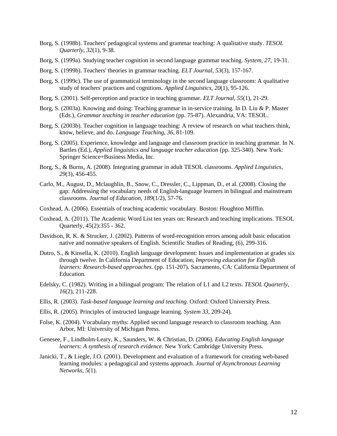- Borg, S. (1998b). Teachers' pedagogical systems and grammar teaching: A qualitative study. *TESOL Quarterly, 32*(1), 9-38.
- Borg, S. (1999a). Studying teacher cognition in second language grammar teaching. *System, 27*, 19-31.
- Borg, S. (1999b). Teachers' theories in grammar teaching. *ELT Journal, 53*(3), 157-167.
- Borg, S. (1999c). The use of grammatical terminology in the second language classroom: A qualitative study of teachers' practices and cognitions. *Applied Linguistics, 20*(1), 95-126.
- Borg, S. (2001). Self-perception and practice in teaching grammar. *ELT Journal, 55*(1), 21-29.
- Borg, S. (2003a). Knowing and doing: Teaching grammar in in-service training. In D. Liu & P. Master (Eds.), *Grammar teaching in teacher education* (pp. 75-87). Alexandria, VA: TESOL.
- Borg, S. (2003b). Teacher cognition in language teaching: A review of research on what teachers think, know, believe, and do. *Language Teaching, 36*, 81-109.
- Borg, S. (2005). Experience, knowledge and language and classroom practice in teaching grammar. In N. Bartles (Ed.), *Applied linguistics and language teacher education* (pp. 325-340). New York: Springer Science+Business Media, Inc.
- Borg, S., & Burns, A. (2008). Integrating grammar in adult TESOL classrooms. *Applied Linguistics, 29*(3), 456-455.
- Carlo, M., August, D., Mclaughlin, B., Snow, C., Dressler, C., Lippman, D., et al. (2008). Closing the gap: Addressing the vocabulary needs of English-language learners in bilingual and mainstream classrooms. *Journal of Education*, *189*(1/2), 57-76.
- Coxhead, A. (2006). [Essentials of teaching academic vocabulary.](http://elt.heinle.com/actions/ChangeRegion?clocation=http%3A%2F%2Felt.heinle.com%2Fcgi-telt%2Fcourse_products_wp.pl%3Ffid%3DM2b%26discipline_number%3D301%26product_isbn_issn%3D0618230149%26from_series_id%3D1000000824%26subject_code%3DEFS01%26book%3D3) Boston: Houghton Mifflin.
- Coxhead, A. (2011). The Academic Word List ten years on: Research and teaching implications. TESOL Quarterly, 45(2):355 - 362.
- Davidson, R. K. & Strucker, J. (2002). Patterns of word-recognition errors among adult basic education native and nonnative speakers of English. Scientific Studies of Reading, (6), 299-316.
- Dutro, S., & Kinsella, K. (2010). English language development: Issues and implementation at grades six through twelve. In California Department of Education, *Improving education for English learners: Research-based approaches*. (pp. 151-207). Sacramento, CA: California Department of Education.
- Edelsky, C. (1982). Writing in a bilingual program: The relation of L1 and L2 texts. *TESOL Quarterly, 16*(2), 211-228.
- Ellis, R. (2003). *Task-based language learning and teaching*. Oxford: Oxford University Press.
- Ellis, R. (2005). Principles of instructed language learning. *System 33*, 209-24).
- Folse, K. (2004). Vocabulary myths: Applied second language research to classroom teaching. Ann Arbor, MI: University of Michigan Press.
- Genesee, F., Lindholm-Leary, K., Saunders, W. & Christian, D. (2006). *Educating English language learners: A synthesis of research evidence.* New York: Cambridge University Press.
- Janicki, T., & Liegle, J.O. (2001). Development and evaluation of a framework for creating web-based learning modules: a pedagogical and systems approach. *Journal of Asynchronous Learning Networks, 5*(1).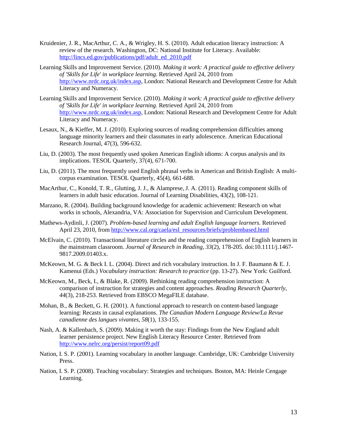- Kruidenier, J. R., MacArthur, C. A., & Wrigley, H. S. (2010). Adult education literacy instruction: A review of the research. Washington, DC: National Institute for Literacy. Available: [http://lincs.ed.gov/publications/pdf/adult\\_ed\\_2010.pdf](http://lincs.ed.gov/publications/pdf/adult_ed_2010.pdf)
- Learning Skills and Improvement Service. (2010). *Making it work: A practical guide to effective delivery of 'Skills for Life' in workplace learning.* Retrieved April 24, 2010 from [http://www.nrdc.org.uk/index.asp,](http://www.nrdc.org.uk/index.asp) London: National Research and Development Centre for Adult Literacy and Numeracy.
- Learning Skills and Improvement Service. (2010). *Making it work: A practical guide to effective delivery of 'Skills for Life' in workplace learning.* Retrieved April 24, 2010 from [http://www.nrdc.org.uk/index.asp,](http://www.nrdc.org.uk/index.asp) London: National Research and Development Centre for Adult Literacy and Numeracy.
- Lesaux, N., & Kieffer, M. J. (2010). Exploring sources of reading comprehension difficulties among language minority learners and their classmates in early adolescence. American Educational Research Journal, 47(3), 596-632.
- Liu, D. (2003). The most frequently used spoken American English idioms: A corpus analysis and its implications. TESOL Quarterly, 37(4), 671-700.
- Liu, D. (2011). The most frequently used English phrasal verbs in American and British English: A multicorpus examination. TESOL Quarterly, 45(4), 661-688.
- MacArthur, C., Konold, T. R., Glutting, J. J., & Alamprese, J. A. (2011). Reading component skills of learners in adult basic education. Journal of Learning Disabilities, 43(2), 108-121.
- Marzano, R. (2004). Building background knowledge for academic achievement: Research on what works in schools, Alexandria, VA: Association for Supervision and Curriculum Development.
- Mathews-Aydinli, J. (2007). *Problem-based learning and adult English language learners.* Retrieved April 23, 2010, from [http://www.cal.org/caela/esl\\_resources/briefs/problembased.html](http://www.cal.org/caela/esl_resources/briefs/problembased.html)
- McElvain, C. (2010). Transactional literature circles and the reading comprehension of English learners in the mainstream classroom. *Journal of Research in Reading, 33*(2), 178-205. doi:10.1111/j.1467- 9817.2009.01403.x.
- McKeown, M. G. & Beck I. L. (2004). Direct and rich vocabulary instruction. In J. F. Baumann & E. J. Kamenui (Eds.) *Vocabulary instruction: Research to practice* (pp. 13-27). New York: Guilford.
- McKeown, M., Beck, I., & Blake, R. (2009). Rethinking reading comprehension instruction: A comparison of instruction for strategies and content approaches. *Reading Research Quarterly*, *44*(3), 218-253. Retrieved from EBSCO MegaFILE database.
- Mohan, B., & Beckett, G. H. (2001). A functional approach to research on content-based language learning: Recasts in causal explanations. *The Canadian Modern Language Review/La Revue canadienne des langues vivantes, 58*(1), 133-155.
- Nash, A. & Kallenbach, S. (2009). Making it worth the stay: Findings from the New England adult learner persistence project. New English Literacy Resource Center. Retrieved from <http://www.nelrc.org/persist/report09.pdf>
- Nation, I. S. P. (2001). Learning vocabulary in another language. Cambridge, UK: Cambridge University Press.
- Nation, I. S. P. (2008). Teaching vocabulary: Strategies and techniques. Boston, MA: Heinle Cengage Learning.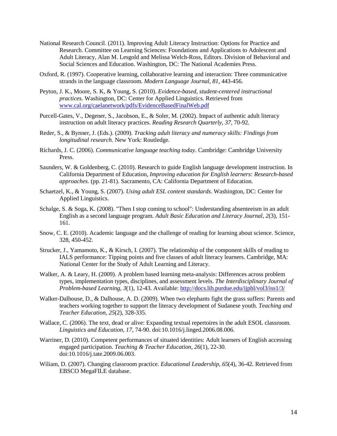- National Research Council. (2011). Improving Adult Literacy Instruction: Options for Practice and Research. Committee on Learning Sciences: Foundations and Applications to Adolescent and Adult Literacy, Alan M. Lesgold and Melissa Welch-Ross, Editors. Division of Behavioral and Social Sciences and Education. Washington, DC: The National Academies Press.
- Oxford, R. (1997). Cooperative learning, collaborative learning and interaction: Three communicative strands in the language classroom. *Modern Language Journal, 81*, 443-456.
- Peyton, J. K., Moore, S. K, & Young, S. (2010). *Evidence-based, student-centered instructional practices.* Washington, DC: Center for Applied Linguistics. Retrieved from [www.cal.org/caelanetwork/pdfs/EvidenceBasedFinalWeb.pdf](http://www.cal.org/caelanetwork/pdfs/EvidenceBasedFinalWeb.pdf)
- Purcell-Gates, V., Degener, S., Jacobson, E., & Soler, M. (2002). Impact of authentic adult literacy instruction on adult literacy practices. *Reading Research Quarterly, 37*, 70-92.
- Reder, S., & Bynner, J. (Eds.). (2009). *Tracking adult literacy and numeracy skills: Findings from longitudinal research*. New York: Routledge.
- Richards, J. C. (2006). *Communicative language teaching today*. Cambridge: Cambridge University Press.
- Saunders, W. & Goldenberg, C. (2010). Research to guide English language development instruction. In California Department of Education, *Improving education for English learners: Research-based approaches*. (pp. 21-81). Sacramento, CA: California Department of Education.
- Schaetzel, K., & Young, S. (2007). *Using adult ESL content standards*. Washington, DC: Center for Applied Linguistics.
- Schalge, S. & Soga, K. (2008). "Then I stop coming to school": Understanding absenteeism in an adult English as a second language program. *Adult Basic Education and Literacy Journal, 2*(3), 151- 161.
- Snow, C. E. (2010). Academic language and the challenge of reading for learning about science. Science, 328, 450-452.
- Strucker, J., Yamamoto, K., & Kirsch, I. (2007). The relationship of the component skills of reading to IALS performance: Tipping points and five classes of adult literacy learners. Cambridge, MA: National Center for the Study of Adult Learning and Literacy.
- Walker, A. & Leary, H. (2009). A problem based learning meta-analysis: Differences across problem types, implementation types, disciplines, and assessment levels. *The Interdisciplinary Journal of Problem-based Learning, 3*(1), 12-43. Available:<http://docs.lib.purdue.edu/ijpbl/vol3/iss1/3/>
- Walker-Dalhouse, D., & Dalhouse, A. D. (2009). When two elephants fight the grass suffers: Parents and teachers working together to support the literacy development of Sudanese youth. *Teaching and Teacher Education, 25*(2), 328-335.
- Wallace, C. (2006). The text, dead or alive: Expanding textual repertoires in the adult ESOL classroom. *Linguistics and Education, 17*, 74-90. doi:10.1016/j.linged.2006.08.006.
- Warriner, D. (2010). Competent performances of situated identities: Adult learners of English accessing engaged participation. *Teaching & Teacher Education, 26*(1), 22-30. doi:10.1016/j.tate.2009.06.003.
- Wiliam, D. (2007). Changing classroom practice. *Educational Leadership*, *65*(4), 36-42. Retrieved from EBSCO MegaFILE database.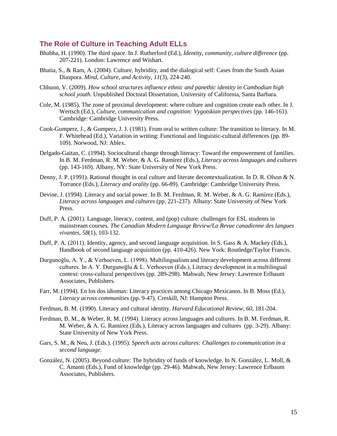#### <span id="page-43-0"></span>**The Role of Culture in Teaching Adult ELLs**

- Bhabha, H. (1990). The third space. In J. Rutherford (Ed.), *Identity, community, culture difference* (pp. 207-221). London: Lawrence and Wishart.
- Bhatia, S., & Ram, A. (2004). Culture, hybridity, and the dialogical self: Cases from the South Asian Diaspora. *Mind, Culture, and Activity, 11*(3), 224-240.
- Chhuon, V. (2009). *How school structures influence ethnic and panethic identity in Cambodian high school youth.* Unpublished Doctoral Dissertation, University of California, Santa Barbara.
- Cole, M. (1985). The zone of proximal development: where culture and cognition create each other. In J. Wertsch (Ed.), *Culture, communication and cognition: Vygotskian perspectives* (pp. 146-161). Cambridge: Cambridge University Press.
- Cook-Gumperz, J., & Gumperz, J. J. (1981). From oral to written culture: The transition to literacy. In M. F. Whitehead (Ed.), Variation in writing: Functional and linguistic-cultural differences (pp. 89- 109). Norwood, NJ: Ablex.
- Delgado-Gaitan, C. (1994). Sociocultural change through literacy: Toward the empowerment of families. In B. M. Ferdman, R. M. Weber, & A. G. Ramírez (Eds.), *Literacy across languages and cultures*  (pp. 143-169). Albany, NY: State University of New York Press.
- Denny, J. P. (1991). Rational thought in oral culture and literate decontextualization. In D. R. Olson & N. Torrance (Eds.), *Literacy and orality* (pp. 66-89). Cambridge: Cambridge University Press.
- Devine, J. (1994). Literacy and social power. In B. M. Ferdman, R. M. Weber, & A. G. Ramírez (Eds.), *Literacy across languages and cultures* (pp. 221-237). Albany: State University of New York Press.
- Duff, P. A. (2001). Language, literacy, content, and (pop) culture: challenges for ESL students in mainstream courses. *The Canadian Modern Language Review/La Revue canadienne des langues vivantes, 58*(1), 103-132.
- Duff, P. A. (2011). Identity, agency, and second language acquisition. In S. Gass & A. Mackey (Eds.), Handbook of second language acquisition (pp. 410-426). New York: Routledge/Taylor Francis.
- Durgunoğlu, A. Y., & Verhoeven, L. (1998). Multilingualism and literacy development across different cultures. In A. Y. Durgunoğlu & L. Verhoeven (Eds.), Literacy development in a multilingual context: cross-cultural perspectives (pp. 289-298). Mahwah, New Jersey: Lawrence Erlbaum Associates, Publishers.
- Farr, M. (1994). En los dos idiomas: Literacy practices among Chicago Mexicanos. In B. Moss (Ed.), *Literacy across communities* (pp. 9-47). Creskill, NJ: Hampton Press.
- Ferdman, B. M. (1990). Literacy and cultural identity. *Harvard Educational Review, 60*, 181-204.
- Ferdman, B. M., & Weber, R. M. (1994). Literacy across languages and cultures. In B. M. Ferdman, R. M. Weber, & A. G. Ramírez (Eds.), Literacy across languages and cultures (pp. 3-29). Albany: State University of New York Press.
- Gars, S. M., & Neu, J. (Eds.). (1995). *Speech acts across cultures: Challenges to communication in a second language*.
- González, N. (2005). Beyond culture: The hybridity of funds of knowledge. In N. González, L. Moll, & C. Amanti (Eds.), Fund of knowledge (pp. 29-46). Mahwah, New Jersey: Lawrence Erlbaum Associates, Publishers.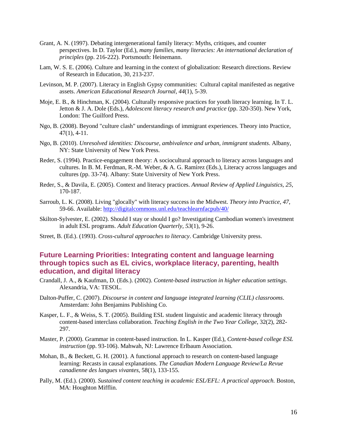- Grant, A. N. (1997). Debating intergenerational family literacy: Myths, critiques, and counter perspectives. In D. Taylor (Ed.), *many families, many literacies: An international declaration of principles* (pp. 216-222). Portsmouth: Heinemann.
- Lam, W. S. E. (2006). Culture and learning in the context of globalization: Research directions. Review of Research in Education, 30, 213-237.
- Levinson, M. P. (2007). Literacy in English Gypsy communities: Cultural capital manifested as negative assets. *American Educational Research Journal, 44*(1), 5-39.
- Moje, E. B., & Hinchman, K. (2004). Culturally responsive practices for youth literacy learning. In T. L. Jetton & J. A. Dole (Eds.), *Adolescent literacy research and practice* (pp. 320-350). New York, London: The Guilford Press.
- Ngo, B. (2008). Beyond "culture clash" understandings of immigrant experiences. Theory into Practice, 47(1), 4-11.
- Ngo, B. (2010). *Unresolved identities: Discourse, ambivalence and urban, immigrant students*. Albany, NY: State University of New York Press.
- Reder, S. (1994). Practice-engagement theory: A sociocultural approach to literacy across languages and cultures. In B. M. Ferdman, R.-M. Weber, & A. G. Ramírez (Eds.), Literacy across languages and cultures (pp. 33-74). Albany: State University of New York Press.
- Reder, S., & Davila, E. (2005). Context and literacy practices. *Annual Review of Applied Linguistics, 25*, 170-187.
- Sarroub, L. K. (2008). Living "glocally" with literacy success in the Midwest. *Theory into Practice, 47*, 59-66. Available[: http://digitalcommons.unl.edu/teachlearnfacpub/40/](http://digitalcommons.unl.edu/teachlearnfacpub/40/)
- Skilton-Sylvester, E. (2002). Should I stay or should I go? Investigating Cambodian women's investment in adult ESL programs. *Adult Education Quarterly, 53*(1), 9-26.
- Street, B. (Ed.). (1993). *Cross-cultural approaches to literacy*. Cambridge University press.

### <span id="page-44-0"></span>**Future Learning Priorities: Integrating content and language learning through topics such as EL civics, workplace literacy, parenting, health education, and digital literacy**

- Crandall, J. A., & Kaufman, D. (Eds.). (2002). *Content-based instruction in higher education settings*. Alexandria, VA: TESOL.
- Dalton-Puffer, C. (2007). *Discourse in content and language integrated learning (CLIL) classrooms*. Amsterdam: John Benjamins Publishing Co.
- Kasper, L. F., & Weiss, S. T. (2005). Building ESL student linguistic and academic literacy through content-based interclass collaboration. *Teaching English in the Two Year College*, 32(2), 282- 297.
- Master, P. (2000). Grammar in content-based instruction. In L. Kasper (Ed.), *Content-based college ESL instruction* (pp. 93-106). Mahwah, NJ: Lawrence Erlbaum Association.
- Mohan, B., & Beckett, G. H. (2001). A functional approach to research on content-based language learning: Recasts in causal explanations. *The Canadian Modern Language Review/La Revue canadienne des langues vivantes*, 58(1), 133-155.
- Pally, M. (Ed.). (2000). *Sustained content teaching in academic ESL/EFL: A practical approach.* Boston, MA: Houghton Mifflin.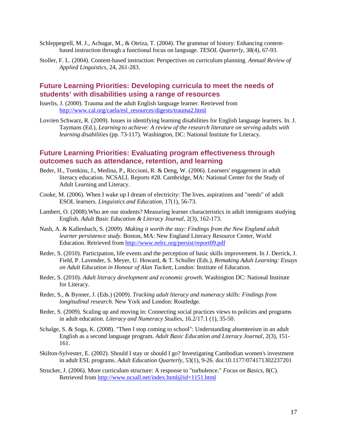- Schleppegrell, M. J., Achugar, M., & Oteíza, T. (2004). The grammar of history: Enhancing contentbased instruction through a functional focus on language. *TESOL Quarterly*, 38(4), 67-93.
- Stoller, F. L. (2004). Content-based instruction: Perspectives on curriculum planning. *Annual Review of Applied Linguistics*, 24, 261-283.

#### <span id="page-45-0"></span>**Future Learning Priorities: Developing curricula to meet the needs of students' with disabilities using a range of resources**

- Isserlis, J. (2000). Trauma and the adult English language learner. Retrieved from [http://www.cal.org/caela/esl\\_resources/digests/trauma2.html](http://www.cal.org/caela/esl_resources/digests/trauma2.html)
- Lovrien Schwarz, R. (2009). Issues in identifying learning disabilities for English language learners. In. J. Taymans (Ed.), *Learning to achieve: A review of the research literature on serving adults with learning disabilities* (pp. 73-117). Washington, DC: National Institute for Literacy.

### <span id="page-45-1"></span>**Future Learning Priorities: Evaluating program effectiveness through outcomes such as attendance, retention, and learning**

- Beder, H., Tomkins, J., Medina, P., Riccioni, R. & Deng, W. (2006). Learners' engagement in adult literacy education. NCSALL Reports #28. Cambridge, MA: National Center for the Study of Adult Learning and Literacy.
- Cooke, M. (2006). When I wake up I dream of electricity: The lives, aspirations and "needs" of adult ESOL learners. *Linguistics and Education*, 17(1), 56-73.
- Lambert, O. (2008).Who are our students? Measuring learner characteristics in adult immigrants studying English. *Adult Basic Education & Literacy Journal*, 2(3), 162-173.
- Nash, A. & Kallenbach, S. (2009). *Making it worth the stay: Findings from the New England adult learner persistence study.* Boston, MA: New England Literacy Resource Center, World Education. Retrieved fro[m http://www.nelrc.org/persist/report09.pdf](http://www.nelrc.org/persist/report09.pdf)
- Reder, S. (2010). Participation, life events and the perception of basic skills improvement. In J. Derrick, J. Field, P. Lavender, S. Meyer, U. Howard, & T. Schuller (Eds.), *Remaking Adult Learning: Essays on Adult Education in Honour of Alan Tuckett,* London: Institute of Education.
- Reder, S. (2010). *Adult literacy development and economic growth.* Washington DC: National Institute for Literacy.
- Reder, S., & Bynner, J. (Eds.) (2009). *Tracking adult literacy and numeracy skills: Findings from longitudinal research.* New York and London: Routledge.
- Reder, S. (2009). Scaling up and moving in: Connecting social practices views to policies and programs in adult education. *Literacy and Numeracy Studies*, 16.2/17.1 (1), 35-50.
- Schalge, S. & Soga, K. (2008). "Then I stop coming to school": Understanding absenteeism in an adult English as a second language program. *Adult Basic Education and Literacy Journal*, 2(3), 151- 161.
- Skilton-Sylvester, E. (2002). Should I stay or should I go? Investigating Cambodian women's investment in adult ESL programs. *Adult Education Quarterly*, 53(1), 9-26. doi:10.1177/074171302237201
- Strucker, J. (2006). More curriculum structure: A response to "turbulence." *Focus on Basics*, 8(C). Retrieved fro[m http://www.ncsall.net/index.html@id=1151.html](http://www.ncsall.net/index.html@id=1151.html)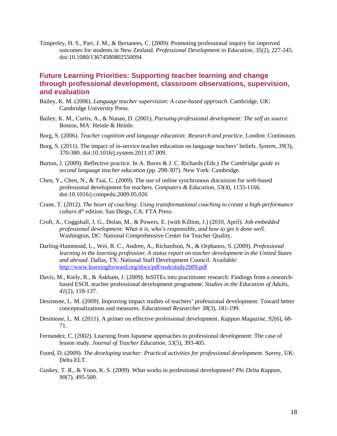Timperley, H. S., Parr, J. M., & Bertanees, C. (2009). Promoting professional inquiry for improved outcomes for students in New Zealand. *Professional Development in Education*, 35(2), 227-245. doi:10.1080/13674580802550094

#### <span id="page-46-0"></span>**Future Learning Priorities: Supporting teacher learning and change through professional development, classroom observations, supervision, and evaluation**

- Bailey, K. M. (2006). *Language teacher supervision: A case-based approach.* Cambridge, UK: Cambridge University Press.
- Bailey, K. M., Curtis, A., & Nunan, D. (2001). *Pursuing professional development: The self as source.* Boston, MA: Heinle & Heinle.
- Borg, S. (2006). *Teacher cognition and language education: Research and practice*. London: Continuum.
- Borg, S. (2011). The impact of in-service teacher education on language teachers' beliefs. *System*, *39*(3), 370-380. doi:10.1016/j.system.2011.07.009.
- Burton, J. (2009). Reflective practice. In A. Burns & J. C. Richards (Eds.) *The Cambridge guide to second language teacher education* (pp. 298-307). New York: Cambridge.
- Chen, Y., Chen, N., & Tsai, C. (2009). The use of online synchronous discussion for web-based professional development for teachers. *Computers & Education*, *53*(4), 1155-1166. doi:10.1016/j.compedu.2009.05.026
- Crane, T. (2012). *The heart of coaching: Using transformational coaching to create a high-performance culture.*4<sup>th</sup> edition. San Diego, CA: FTA Press.
- Croft, A., Coggshall, J. G., Dolan, M., & Powers, E. (with Killion, J.) (2010, April). *Job embedded professional development: What it is, who's responsible, and how to get it done well.* Washington, DC: National Comprehensive Center for Teacher Quality.
- Darling-Hammond, L., Wei, R. C., Andree, A., Richardson, N., & Orphanos, S. (2009). *Professional learning in the learning profession: A status report on teacher development in the United States and abroad.* Dallas, TX: National Staff Development Council. Available: <http://www.learningforward.org/docs/pdf/nsdcstudy2009.pdf>
- Davis, M., Kiely, R., & Askham, J. (2009). InSITEs into practitioner research: Findings from a researchbased ESOL teacher professional development programme. *Studies in the Education of Adults*, *41*(2), 118-137.
- Desimone, L. M. (2009). Improving impact studies of teachers' professional development: Toward better conceptualizations and measures. *Educational Researcher 38*(3), 181-199.
- Desimone, L. M. (2011). A primer on effective professional development. *Kappan Magazine, 92*(6), 68- 71.
- Fernandez, C. (2002). Learning from Japanese approaches to professional development: The case of lesson study. *Journal of Teacher Education, 53*(5), 393-405.
- Foord, D. (2009). *The developing teacher: Practical activities for professional development.* Surrey, UK: Delta ELT.
- Guskey, T. R., & Yoon, K. S. (2009). What works in professional development? *Phi Delta Kappan, 90*(7), 495-500.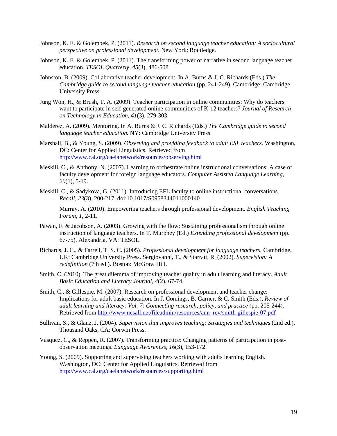- Johnson, K. E. & Golembek, P. (2011). *Research on second language teacher education: A sociocultural perspective on professional development.* New York: Routledge.
- Johnson, K. E. & Golembek, P. (2011). The transforming power of narrative in second language teacher education. *TESOL Quarterly, 45*(3), 486-508.
- Johnston, B. (2009). Collaborative teacher development, In A. Burns & J. C. Richards (Eds.) *The Cambridge guide to second language teacher education* (pp. 241-249). Cambridge: Cambridge University Press.
- Jung Won, H., & Brush, T. A. (2009). Teacher participation in online communities: Why do teachers want to participate in self-generated online communities of K-12 teachers? *Journal of Research on Technology in Education*, *41*(3), 279-303.
- Malderez, A. (2009). Mentoring. In A. Burns & J. C. Richards (Eds.) *The Cambridge guide to second language teacher education.* NY: Cambridge University Press.
- Marshall, B., & Young, S. (2009). *Observing and providing feedback to adult ESL teachers.* Washington, DC: Center for Applied Linguistics. Retrieved from <http://www.cal.org/caelanetwork/resources/observing.html>
- Meskill, C., & Anthony, N. (2007). Learning to orchestrate online instructional conversations: A case of faculty development for foreign language educators. *Computer Assisted Language Learning*, *20*(1), 5-19.
- Meskill, C., & Sadykova, G. (2011). Introducing EFL faculty to online instructional conversations. *Recall*, *23*(3), 200-217. doi:10.1017/S0958344011000140

Murray, A. (2010). Empowering teachers through professional development. *English Teaching Forum, 1*, 2-11.

- Pawan, F. & Jacobson, A. (2003). Growing with the flow: Sustaining professionalism through online instruction of language teachers. In T. Murphey (Ed.) *Extending professional development* (pp. 67-75). Alexandria, VA: TESOL.
- Richards, J. C., & Farrell, T. S. C. (2005). *Professional development for language teachers.* Cambridge, UK: Cambridge University Press. Sergiovanni, T., & Starratt, R. (2002). *Supervision: A redefinition* (7th ed.). Boston: McGraw Hill.
- Smith, C. (2010). The great dilemma of improving teacher quality in adult learning and literacy. *Adult Basic Education and Literacy Journal, 4*(2), 67-74.
- Smith, C., & Gillespie, M. (2007). Research on professional development and teacher change: Implications for adult basic education. In J. Comings, B. Garner, & C. Smith (Eds.), *Review of adult learning and literacy: Vol. 7: Connecting research, policy, and practice* (pp. 205-244). Retrieved fro[m http://www.ncsall.net/fileadmin/resources/ann\\_rev/smith-gillespie-07.pdf](http://www.ncsall.net/fileadmin/resources/ann_rev/smith-gillespie-07.pdf)
- Sullivan, S., & Glanz, J. (2004). *Supervision that improves teaching: Strategies and techniques* (2nd ed.). Thousand Oaks, CA: Corwin Press.
- Vasquez, C., & Reppen, R. (2007). Transforming practice: Changing patterns of participation in postobservation meetings. *Language Awareness, 16*(3), 153-172.
- Young, S. (2009). Supporting and supervising teachers working with adults learning English. Washington, DC: Center for Applied Linguistics. Retrieved from <http://www.cal.org/caelanetwork/resources/supporting.html>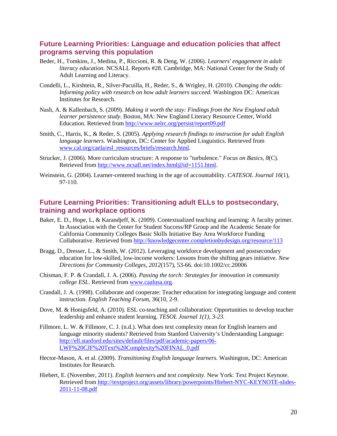#### <span id="page-48-0"></span>**Future Learning Priorities: Language and education policies that affect programs serving this population**

- Beder, H., Tomkins, J., Medina, P., Riccioni, R. & Deng, W. (2006). *Learners' engagement in adult literacy education*. NCSALL Reports #28. Cambridge, MA: National Center for the Study of Adult Learning and Literacy.
- Condelli, L., Kirshtein, R., Silver-Pacuilla, H., Reder, S., & Wrigley, H. (2010). *Changing the odds: Informing policy with research on how adult learners succeed.* Washington DC: American Institutes for Research.
- Nash, A. & Kallenbach, S. (2009). *Making it worth the stay: Findings from the New England adult learner persistence study.* Boston, MA: New England Literacy Resource Center, World Education. Retrieved fro[m http://www.nelrc.org/persist/report09.pdf](http://www.nelrc.org/persist/report09.pdf)
- Smith, C., Harris, K., & Reder, S. (2005). *Applying research findings to instruction for adult English language learners.* Washington, DC: Center for Applied Linguistics. Retrieved from [www.cal.org/caela/esl\\_resources/briefs/research.html.](http://www.cal.org/caela/esl_resources/briefs/research.html)
- Strucker, J. (2006). More curriculum structure: A response to "turbulence." *Focus on Basics, 8*(C). Retrieved fro[m http://www.ncsall.net/index.html@id=1151.html.](http://www.ncsall.net/index.html@id=1151.html)
- Weinstein, G. (2004). Learner-centered teaching in the age of accountability. *CATESOL Journal 16*(1), 97-110.

### <span id="page-48-1"></span>**Future Learning Priorities: Transitioning adult ELLs to postsecondary, training and workplace options**

- Baker, E. D., Hope, L, & Karandjeff, K. (2009). Contextualized teaching and learning: A faculty primer. In Association with the Center for Student Success/RP Group and the Academic Senate for California Community Colleges Basic Skills Initiative Bay Area Workforce Funding Collaborative. Retrieved from<http://knowledgecenter.completionbydesign.org/resource/113>
- Bragg, D., Dresser, L., & Smith, W. (2012). Leveraging workforce development and postsecondary education for low-skilled, low-income workers: Lessons from the shifting gears initiative. *New Directions for Community Colleges*, *2012*(157), 53-66. doi:10.1002/cc.20006
- Chisman, F. P. & Crandall, J. A. (2006). *Passing the torch: Strategies for innovation in community college ESL*. Retrieved from [www.caalusa.org.](http://www.caalusa.org/)
- Crandall, J. A. (1998). Collaborate and cooperate: Teacher education for integrating language and content instruction. *English Teaching Forum*, 36(10, 2-9.
- Dove, M. & Honigsfeld, A. (2010). ESL co-teaching and collaboration: Opportunities to develop teacher leadership and enhance student learning. *TESOL Journal 1(1), 3-23.*
- Fillmore, L. W. & Fillmore, C. J. (n.d.). What does text complexity mean for English learners and language minority students? Retrieved from Stanford University's Understanding Language: [http://ell.stanford.edu/sites/default/files/pdf/academic-papers/06-](http://ell.stanford.edu/sites/default/files/pdf/academic-papers/06-LWF%20CJF%20Text%20Complexity%20FINAL_0.pdf) [LWF%20CJF%20Text%20Complexity%20FINAL\\_0.pdf](http://ell.stanford.edu/sites/default/files/pdf/academic-papers/06-LWF%20CJF%20Text%20Complexity%20FINAL_0.pdf)
- Hector-Mason, A. et al. (2009). *Transitioning English language learners.* Washington, DC: American Institutes for Research.
- Hiebert, E. (November, 2011). *English learners and text complexity.* New York: Text Project Keynote. Retrieved fro[m http://textproject.org/assets/library/powerpoints/Hiebert-NYC-KEYNOTE-slides-](http://textproject.org/assets/library/powerpoints/Hiebert-NYC-KEYNOTE-slides-2011-11-08.pdf)[2011-11-08.pdf](http://textproject.org/assets/library/powerpoints/Hiebert-NYC-KEYNOTE-slides-2011-11-08.pdf)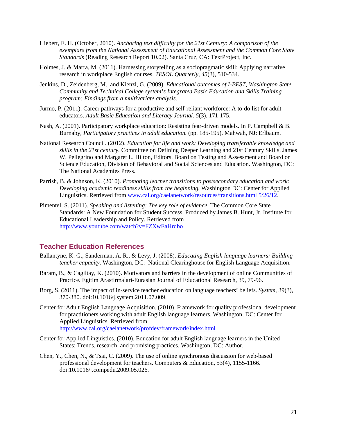- Hiebert, E. H. (October, 2010). *Anchoring text difficulty for the 21st Century: A comparison of the exemplars from the National Assessment of Educational Assessment and the Common Core State Standards* (Reading Research Report 10.02). Santa Cruz, CA: TextProject, Inc.
- Holmes, J. & Marra, M. (2011). Harnessing storytelling as a sociopragmatic skill: Applying narrative research in workplace English courses. *TESOL Quarterly, 45*(3), 510-534.
- Jenkins, D., Zeidenberg, M., and Kienzl, G. (2009). *Educational outcomes of I-BEST, Washington State Community and Technical College system's Integrated Basic Education and Skills Training program: Findings from a multivariate analysis*.
- Jurmo, P. (2011). Career pathways for a productive and self-reliant workforce: A to-do list for adult educators. *Adult Basic Education and Literacy Journal. 5*(3), 171-175.
- Nash, A. (2001). Participatory workplace education: Resisting fear-driven models. In P. Campbell & B. Burnaby, *Participatory practices in adult education.* (pp. 185-195). Mahwah, NJ: Erlbaum.
- National Research Council. (2012). *Education for life and work: Developing transferable knowledge and skills in the 21st century.* Committee on Defining Deeper Learning and 21st Century Skills, James W. Pellegrino and Margaret L. Hilton, Editors. Board on Testing and Assessment and Board on Science Education, Division of Behavioral and Social Sciences and Education. Washington, DC: The National Academies Press.
- Parrish, B. & Johnson, K. (2010). *Promoting learner transitions to postsecondary education and work: Developing academic readiness skills from the beginning.* Washington DC: Center for Applied Linguistics. Retrieved from [www.cal.org/caelanetwork/resources/transitions.html 5/26/12.](http://www.cal.org/caelanetwork/resources/transitions.html%205/26/12)
- Pimentel, S. (2011). *Speaking and listening: The key role of evidence*. The Common Core State Standards: A New Foundation for Student Success. Produced by James B. Hunt, Jr. Institute for Educational Leadership and Policy. Retrieved from <http://www.youtube.com/watch?v=FZXwEaHrdbo>

### <span id="page-49-0"></span>**Teacher Education References**

- Ballantyne, K. G., Sanderman, A. R., & Levy, J. (2008). *Educating English language learners: Building teacher capacity*. Washington, DC: National Clearinghouse for English Language Acquisition.
- Baram, B., & Cagiltay, K. (2010). Motivators and barriers in the development of online Communities of Practice. Egitim Arastirmalari-Eurasian Journal of Educational Research, 39, 79-96.
- Borg, S. (2011). The impact of in-service teacher education on language teachers' beliefs. *System,* 39(3), 370-380. doi:10.1016/j.system.2011.07.009.
- Center for Adult English Language Acquisition. (2010). Framework for quality professional development for practitioners working with adult English language learners. Washington, DC: Center for Applied Linguistics. Retrieved from <http://www.cal.org/caelanetwork/profdev/framework/index.html>
- Center for Applied Linguistics. (2010). Education for adult English language learners in the United States: Trends, research, and promising practices. Washington, DC: Author.
- Chen, Y., Chen, N., & Tsai, C. (2009). The use of online synchronous discussion for web-based professional development for teachers. Computers & Education, 53(4), 1155-1166. doi:10.1016/j.compedu.2009.05.026.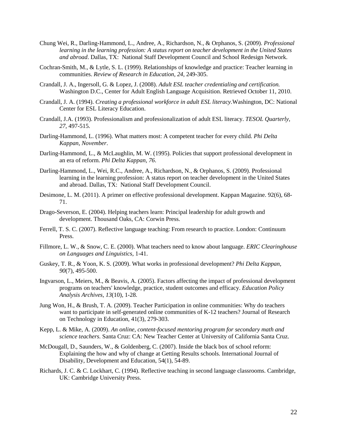- Chung Wei, R., Darling-Hammond, L., Andree, A., Richardson, N., & Orphanos, S. (2009). *Professional learning in the learning profession: A status report on teacher development in the United States and abroad*. Dallas, TX: National Staff Development Council and School Redesign Network.
- Cochran-Smith, M., & Lytle, S. L. (1999). Relationships of knowledge and practice: Teacher learning in communities. *Review of Research in Education, 24*, 249-305.
- Crandall, J. A., Ingersoll, G. & Lopez, J. (2008). *Adult ESL teacher credentialing and certification.*  Washington D.C., Center for Adult English Language Acquisition. Retrieved October 11, 2010.
- Crandall, J. A. (1994). *Creating a professional workforce in adult ESL literacy.*Washington, DC: National Center for ESL Literacy Education.
- Crandall, J.A. (1993). Professionalism and professionalization of adult ESL literacy. *TESOL Quarterly, 27*, 497-515.
- Darling-Hammond, L. (1996). What matters most: A competent teacher for every child. *Phi Delta Kappan, November*.
- Darling-Hammond, L., & McLaughlin, M. W. (1995). Policies that support professional development in an era of reform. *Phi Delta Kappan, 76*.
- Darling-Hammond, L., Wei, R.C., Andree, A., Richardson, N., & Orphanos, S. (2009). Professional learning in the learning profession: A status report on teacher development in the United States and abroad. Dallas, TX: National Staff Development Council.
- Desimone, L. M. (2011). A primer on effective professional development. Kappan Magazine. 92(6), 68- 71.
- Drago-Severson, E. (2004). Helping teachers learn: Principal leadership for adult growth and development. Thousand Oaks, CA: Corwin Press.
- Ferrell, T. S. C. (2007). Reflective language teaching: From research to practice. London: Continuum Press.
- Fillmore, L. W., & Snow, C. E. (2000). What teachers need to know about language. *ERIC Clearinghouse on Languages and Linguistics*, 1-41.
- Guskey, T. R., & Yoon, K. S. (2009). What works in professional development? *Phi Delta Kappan, 90*(7), 495-500.
- Ingvarson, L., Meiers, M., & Beavis, A. (2005). Factors affecting the impact of professional development programs on teachers' knowledge, practice, student outcomes and efficacy. *Education Policy Analysis Archives, 13*(10), 1-28.
- Jung Won, H., & Brush, T. A. (2009). Teacher Participation in online communities: Why do teachers want to participate in self-generated online communities of K-12 teachers? Journal of Research on Technology in Education, 41(3), 279-303.
- Kepp, L. & Mike, A. (2009). *An online, content-focused mentoring program for secondary math and science teachers.* Santa Cruz: CA: New Teacher Center at University of California Santa Cruz.
- McDougall, D., Saunders, W., & Goldenberg, C. (2007). Inside the black box of school reform: Explaining the how and why of change at Getting Results schools. International Journal of Disability, Development and Education, 54(1), 54-89.
- Richards, J. C. & C. Lockhart, C. (1994). Reflective teaching in second language classrooms. Cambridge, UK: Cambridge University Press.